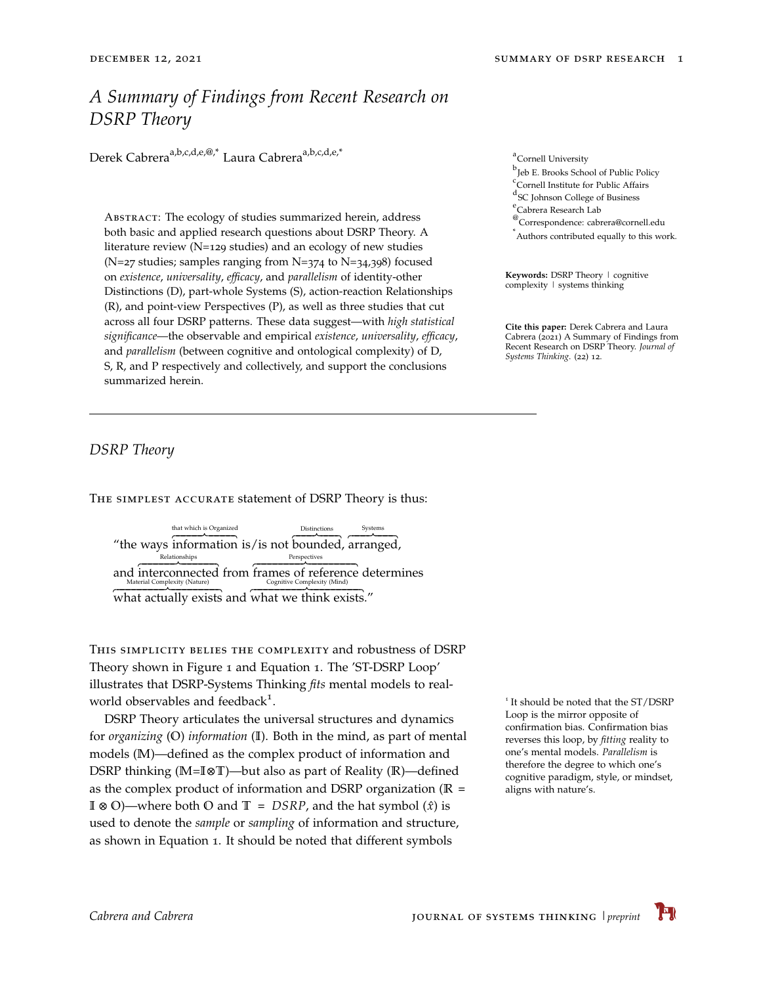# *A Summary of Findings from Recent Research on DSRP Theory*

Derek Cabrera<sup>a,b,c,d,e,@,\*</sup> Laura Cabrera<sup>a,b,c,d,e,\*</sup>

Abstract: The ecology of studies summarized herein, address both basic and applied research questions about DSRP Theory. A literature review (N=129 studies) and an ecology of new studies (N=27 studies; samples ranging from N=374 to N=34,398) focused on *existence*, *universality*, *efficacy*, and *parallelism* of identity-other Distinctions (D), part-whole Systems (S), action-reaction Relationships (R), and point-view Perspectives (P), as well as three studies that cut across all four DSRP patterns. These data suggest—with *high statistical significance*—the observable and empirical *existence*, *universality*, *efficacy*, and *parallelism* (between cognitive and ontological complexity) of D, S, R, and P respectively and collectively, and support the conclusions summarized herein.

<span id="page-0-0"></span>*DSRP Theory*

The simplest accurate statement of DSRP Theory is thus:

"the ways information is/is not bounded, arranged, that which is Organized Distinctions Systems and interconnected from frames of reference determines Relationships Perspectives

Ì ÒÒÒÒÒÒÒÒÒÒÒÒÒÒÒÒÒÒÒÒÒÒÒÒÒÒÒÒÒÒÒÒÐ ÒÒÒÒÒÒÒÒÒÒÒÒÒÒÒÒÒÒÒÒÒÒÒÒÒÒÒÒÒÒÒÒÎ what actually exists and Ì ÒÒÒÒÒÒÒÒÒÒÒÒÒÒÒÒÒÒÒÒÒÒÒÒÒÒÒÒÒÒÒÒÒÒÐÒÒÒÒÒÒÒÒÒÒÒÒÒÒÒÒÒÒÒÒÒÒÒÒÒÒÒÒÒÒÒÒÒÒÎ what we think exists."

This simplicity belies the complexity and robustness of DSRP Theory shown in Figure [1](#page-0-0) and Equation [1](#page-1-0). The 'ST-DSRP Loop' illustrates that DSRP-Systems Thinking *fits* mental models to realworld observables and feedback<sup>1</sup>.

DSRP Theory articulates the universal structures and dynamics for *organizing* (**O**) *information* (**I**). Both in the mind, as part of mental models (**M**)—defined as the complex product of information and DSRP thinking (**M**=**I**⊗**T**)—but also as part of Reality (**R**)—defined as the complex product of information and DSRP organization (**R** = **I** ⊗ **O**)—where both **O** and **T** = *DSRP*, and the hat symbol (*x*ˆ) is used to denote the *sample* or *sampling* of information and structure, as shown in Equation [1](#page-1-0). It should be noted that different symbols

<sup>a</sup>Cornell University

b Jeb E. Brooks School of Public Policy

c Cornell Institute for Public Affairs

d SC Johnson College of Business

e<br>Cabrera Research Lab

<sup>@</sup>Correspondence: cabrera@cornell.edu

\* Authors contributed equally to this work.

**Keywords:** DSRP Theory | cognitive complexity | systems thinking

**Cite this paper:** Derek Cabrera and Laura Cabrera (2021) A Summary of Findings from Recent Research on DSRP Theory. *Journal of Systems Thinking*. (22) 12.

<sup>1</sup> It should be noted that the ST/DSRP Loop is the mirror opposite of confirmation bias. Confirmation bias reverses this loop, by *fitting* reality to one's mental models. *Parallelism* is therefore the degree to which one's cognitive paradigm, style, or mindset, aligns with nature's.

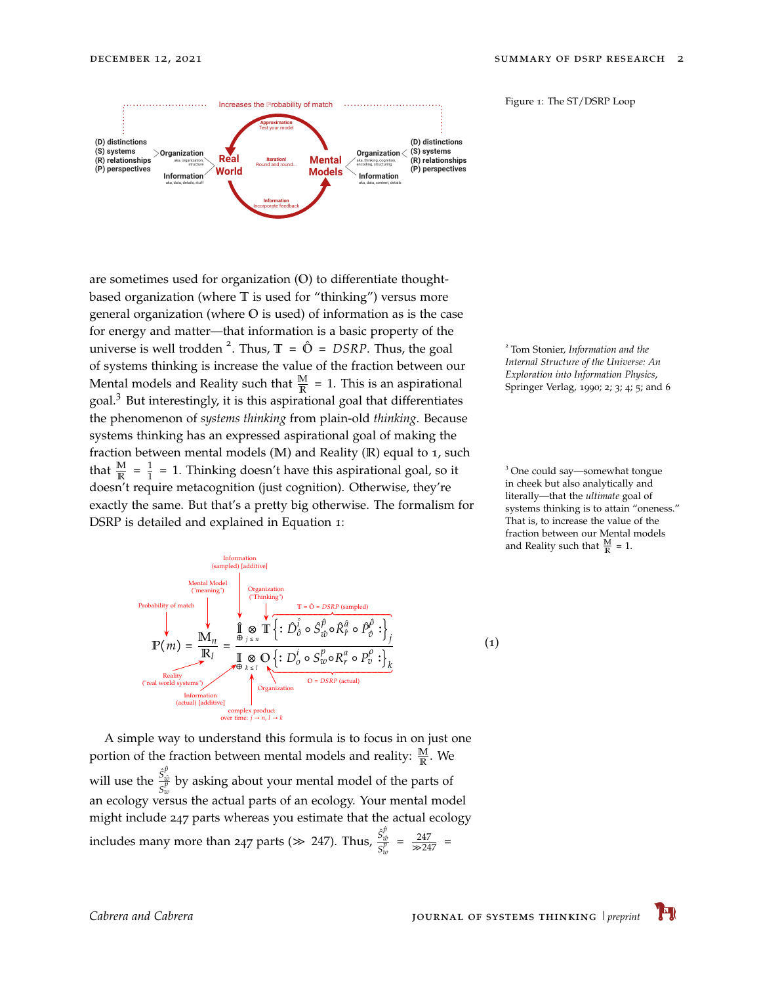

Figure 1: The ST/DSRP Loop

are sometimes used for organization (**O**) to differentiate thoughtbased organization (where **T** is used for "thinking") versus more general organization (where **O** is used) of information as is the case for energy and matter—that information is a basic property of the universe is well trodden <sup>2</sup>. Thus,  $\mathbb{T} = \hat{O} = DSRP$ . Thus, the goal of systems thinking is increase the value of the fraction between our Mental models and Reality such that  $\frac{M}{R}$  = 1. This is an aspirational goal.<sup>3</sup> But interestingly, it is this aspirational goal that differentiates the phenomenon of *systems thinking* from plain-old *thinking*. Because systems thinking has an expressed aspirational goal of making the fraction between mental models (**M**) and Reality (**R**) equal to 1, such that  $\frac{M}{R} = \frac{1}{1}$  $\frac{1}{1}$  = 1. Thinking doesn't have this aspirational goal, so it doesn't require metacognition (just cognition). Otherwise, they're exactly the same. But that's a pretty big otherwise. The formalism for DSRP is detailed and explained in Equation [1](#page-1-0):

Tom Stonier, *Information and the Internal Structure of the Universe: An Exploration into Information Physics*, Springer Verlag, 1990; [2](#page-12-0); [3](#page-12-1); [4](#page-12-2); [5](#page-12-3); and [6](#page-12-4)

<sup>3</sup> One could say—somewhat tongue in cheek but also analytically and literally—that the *ultimate* goal of systems thinking is to attain "oneness." That is, to increase the value of the fraction between our Mental models and Reality such that  $\frac{M}{R} = 1$ .



<span id="page-1-0"></span>*x* (1)

A simple way to understand this formula is to focus in on just one portion of the fraction between mental models and reality:  $\frac{M}{R}$ . We will use the  $\frac{\hat{S}_{\hat{w}}^{\hat{p}}}{\hat{c}^p}$  $S_{\overline{v}}^{\overline{\omega}}$  by asking about your mental model of the parts of *w* an ecology versus the actual parts of an ecology. Your mental model might include 247 parts whereas you estimate that the actual ecology includes many more than 247 parts ( $\gg$  247). Thus,  $\frac{\hat{S}_w^{\hat{p}}}{\sigma^p}$  $\frac{S_{\hat{w}}}{S_{w}^{p}} = \frac{247}{\gg 247}$  =

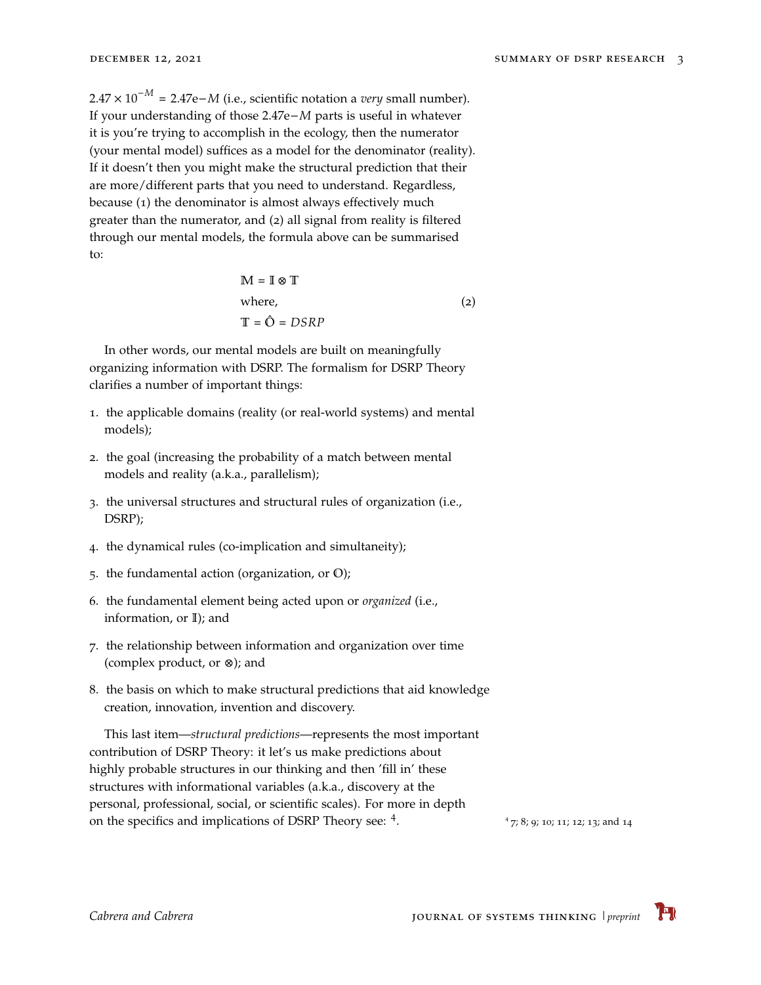$2.47 \times 10^{-M}$  = 2.47e–*M* (i.e., scientific notation a *very* small number). If your understanding of those 2.47e−*M* parts is useful in whatever it is you're trying to accomplish in the ecology, then the numerator (your mental model) suffices as a model for the denominator (reality). If it doesn't then you might make the structural prediction that their are more/different parts that you need to understand. Regardless, because (1) the denominator is almost always effectively much greater than the numerator, and (2) all signal from reality is filtered through our mental models, the formula above can be summarised to:

$$
M = I \otimes T
$$
  
where,  

$$
T = \hat{O} = DSRP
$$
 (2)

In other words, our mental models are built on meaningfully organizing information with DSRP. The formalism for DSRP Theory clarifies a number of important things:

- 1. the applicable domains (reality (or real-world systems) and mental models);
- 2. the goal (increasing the probability of a match between mental models and reality (a.k.a., parallelism);
- 3. the universal structures and structural rules of organization (i.e., DSRP);
- 4. the dynamical rules (co-implication and simultaneity);
- 5. the fundamental action (organization, or **O**);
- 6. the fundamental element being acted upon or *organized* (i.e., information, or **I**); and
- 7. the relationship between information and organization over time (complex product, or ⊗); and
- 8. the basis on which to make structural predictions that aid knowledge creation, innovation, invention and discovery.

This last item—*structural predictions*—represents the most important contribution of DSRP Theory: it let's us make predictions about highly probable structures in our thinking and then 'fill in' these structures with informational variables (a.k.a., discovery at the personal, professional, social, or scientific scales). For more in depth on the specifics and implications of DSRP Theory see: <sup>4</sup>.

<sup>4</sup> [7](#page-12-5); [8](#page-12-6); [9](#page-12-7); [10](#page-12-8); [11](#page-12-9); [12](#page-12-10); [13](#page-12-11); and [14](#page-13-0)

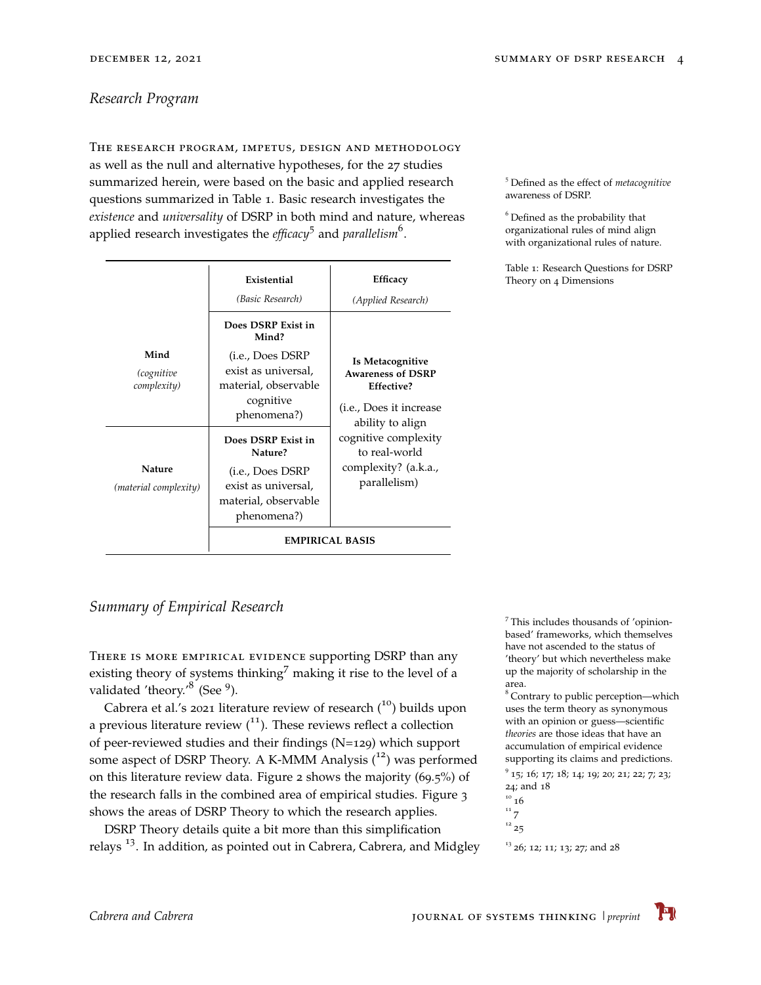### <span id="page-3-0"></span>*Research Program*

The research program, impetus, design and methodology as well as the null and alternative hypotheses, for the 27 studies summarized herein, were based on the basic and applied research questions summarized in Table [1](#page-3-0). Basic research investigates the *existence* and *universality* of DSRP in both mind and nature, whereas applied research investigates the *efficacy*<sup>5</sup> and *parallelism*<sup>6</sup>.

|                                   | Existential<br>(Basic Research)                                                                                                     | Efficacy<br>(Applied Research)                                                                                                                                                                      |
|-----------------------------------|-------------------------------------------------------------------------------------------------------------------------------------|-----------------------------------------------------------------------------------------------------------------------------------------------------------------------------------------------------|
| Mind<br>(cognitive<br>complexity) | Does DSRP Exist in<br>Mind?<br>( <i>i.e.</i> , Does DSRP<br>exist as universal,<br>material, observable<br>cognitive<br>phenomena?) | Is Metacognitive<br><b>Awareness of DSRP</b><br>Effective?<br>( <i>i.e.</i> , Does it increase<br>ability to align<br>cognitive complexity<br>to real-world<br>complexity? (a.k.a.,<br>parallelism) |
| Nature<br>(material complexity)   | Does DSRP Exist in<br>Nature?<br>(i.e., Does DSRP<br>exist as universal,<br>material, observable<br>phenomena?)                     |                                                                                                                                                                                                     |
|                                   | <b>EMPIRICAL BASIS</b>                                                                                                              |                                                                                                                                                                                                     |

<sup>5</sup> Defined as the effect of *metacognitive* awareness of DSRP.

 $6$  Defined as the probability that organizational rules of mind align with organizational rules of nature.

Table 1: Research Questions for DSRP Theory on 4 Dimensions

## <span id="page-3-1"></span>*Summary of Empirical Research*

There is more empirical evidence supporting DSRP than any existing theory of systems thinking<sup>7</sup> making it rise to the level of a validated 'theory.'<sup>8</sup> (See <sup>9</sup>).

Cabrera et al.'s 2021 literature review of research  $(10)$  builds upon a previous literature review  $\binom{11}{1}$ . These reviews reflect a collection of peer-reviewed studies and their findings (N=129) which support some aspect of DSRP Theory. A K-MMM Analysis  $(^{12})$  was performed on this literature review data. Figure [2](#page-3-1) shows the majority (69.5%) of the research falls in the combined area of empirical studies. Figure [3](#page-3-1) shows the areas of DSRP Theory to which the research applies.

DSRP Theory details quite a bit more than this simplification relays<sup>[13](#page-12-11)</sup>. In addition, as pointed out in Cabrera, Cabrera, and Midgley  $\frac{13}{26}$  $\frac{13}{26}$  $\frac{13}{26}$ ; [12](#page-12-10); [11](#page-12-9); 13; [27](#page-14-3); and [28](#page-14-4)

7 This includes thousands of 'opinionbased' frameworks, which themselves have not ascended to the status of 'theory' but which nevertheless make up the majority of scholarship in the

area.<br><sup>8</sup> Contrary to public perception—which uses the term theory as synonymous with an opinion or guess—scientific *theories* are those ideas that have an accumulation of empirical evidence supporting its claims and predictions.

<sup>9</sup> [15](#page-13-1); [16](#page-13-2); [17](#page-13-3); [18](#page-13-4); [14](#page-13-0); [19](#page-13-5); [20](#page-13-6); [21](#page-13-7); [22](#page-13-8); [7](#page-12-5); [23](#page-13-9); [24](#page-14-0); and [18](#page-13-4)

$$
\begin{smallmatrix}10&16\\11&7\end{smallmatrix}
$$

 $12^{12}$  [25](#page-14-1)

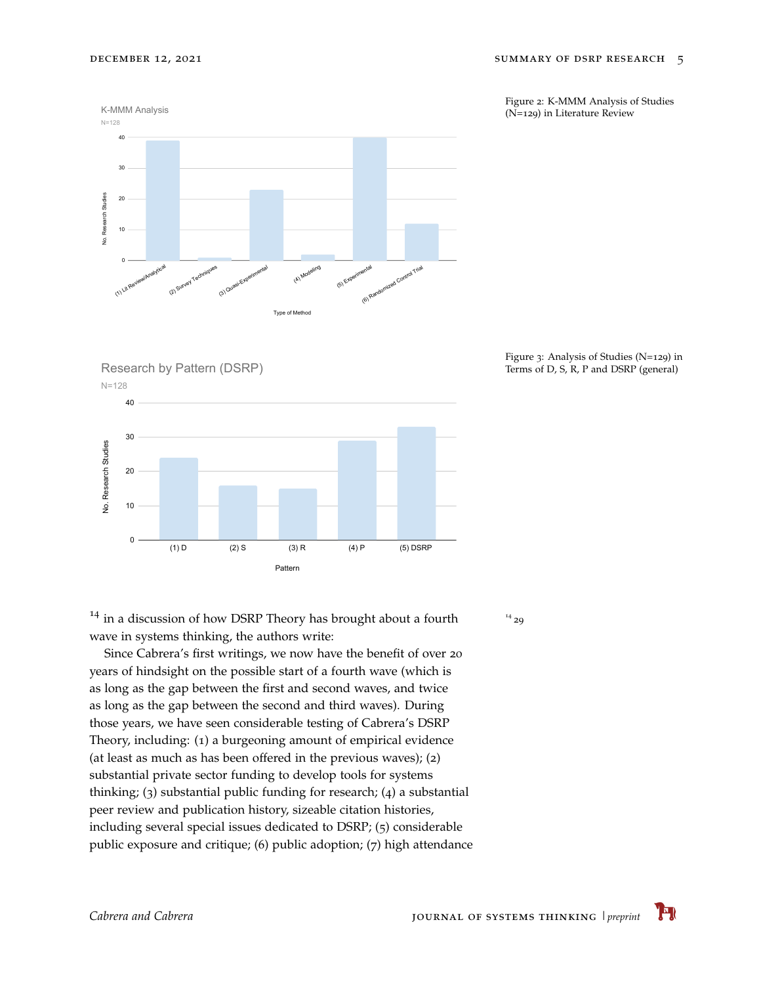Figure 2: K-MMM Analysis of Studies (N=129) in Literature Review







Figure 3: Analysis of Studies (N=129) in Terms of D, S, R, P and DSRP (general)

 $14$  in a discussion of how DSRP Theory has brought about a fourth wave in systems thinking, the authors write:

Since Cabrera's first writings, we now have the benefit of over 20 years of hindsight on the possible start of a fourth wave (which is as long as the gap between the first and second waves, and twice as long as the gap between the second and third waves). During those years, we have seen considerable testing of Cabrera's DSRP Theory, including: (1) a burgeoning amount of empirical evidence (at least as much as has been offered in the previous waves); (2) substantial private sector funding to develop tools for systems thinking; (3) substantial public funding for research; (4) a substantial peer review and publication history, sizeable citation histories, including several special issues dedicated to DSRP; (5) considerable public exposure and critique; (6) public adoption; (7) high attendance  $1429$  $1429$ 

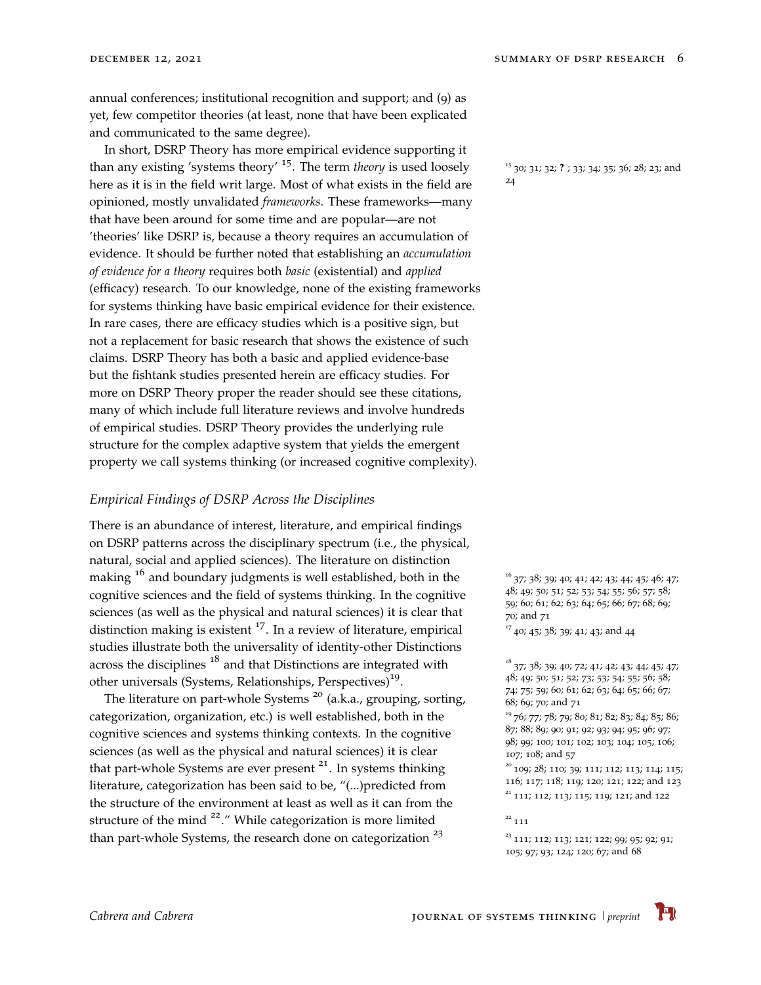annual conferences; institutional recognition and support; and (9) as yet, few competitor theories (at least, none that have been explicated and communicated to the same degree).

In short, DSRP Theory has more empirical evidence supporting it than any existing 'systems theory' <sup>15</sup>. The term *theory* is used loosely here as it is in the field writ large. Most of what exists in the field are <sup>[24](#page-14-0)</sup> opinioned, mostly unvalidated *frameworks*. These frameworks—many that have been around for some time and are popular—are not 'theories' like DSRP is, because a theory requires an accumulation of evidence. It should be further noted that establishing an *accumulation of evidence for a theory* requires both *basic* (existential) and *applied* (efficacy) research. To our knowledge, none of the existing frameworks for systems thinking have basic empirical evidence for their existence. In rare cases, there are efficacy studies which is a positive sign, but not a replacement for basic research that shows the existence of such claims. DSRP Theory has both a basic and applied evidence-base but the fishtank studies presented herein are efficacy studies. For more on DSRP Theory proper the reader should see these citations, many of which include full literature reviews and involve hundreds of empirical studies. DSRP Theory provides the underlying rule structure for the complex adaptive system that yields the emergent property we call systems thinking (or increased cognitive complexity).

#### <span id="page-5-0"></span>*Empirical Findings of DSRP Across the Disciplines*

There is an abundance of interest, literature, and empirical findings on DSRP patterns across the disciplinary spectrum (i.e., the physical, natural, social and applied sciences). The literature on distinction making <sup>16</sup> and boundary judgments is well established, both in the cognitive sciences and the field of systems thinking. In the cognitive sciences (as well as the physical and natural sciences) it is clear that distinction making is existent  $17$ . In a review of literature, empirical studies illustrate both the universality of identity-other Distinctions across the disciplines  $18$  and that Distinctions are integrated with other universals (Systems, Relationships, Perspectives)<sup>19</sup>.

The literature on part-whole Systems<sup>20</sup> (a.k.a., grouping, sorting, categorization, organization, etc.) is well established, both in the cognitive sciences and systems thinking contexts. In the cognitive sciences (as well as the physical and natural sciences) it is clear that part-whole Systems are ever present  $21$ . In systems thinking literature, categorization has been said to be, "(...)predicted from the structure of the environment at least as well as it can from the structure of the mind  $22$ ." While categorization is more limited than part-whole Systems, the research done on categorization  $23$ 

<sup>15</sup> [30](#page-14-6); [31](#page-14-7); [32](#page-14-8); ? ; [33](#page-14-9); [34](#page-14-10); [35](#page-14-11); [36](#page-15-0); [28](#page-14-4); [23](#page-13-9); and

 $^{16}$  [37](#page-15-1); [38](#page-15-2); [39](#page-15-3); [40](#page-15-4); [41](#page-15-5); [42](#page-15-6); [43](#page-15-7); [44](#page-15-8); [45](#page-15-9); [46](#page-15-10); [47](#page-15-11); [48](#page-15-12); [49](#page-16-0); [50](#page-16-1); [51](#page-16-2); [52](#page-16-3); [53](#page-16-4); [54](#page-16-5); [55](#page-16-6); [56](#page-16-7); [57](#page-16-8); [58](#page-16-9); [59](#page-16-10); [60](#page-16-11); [61](#page-16-12); [62](#page-17-0); [63](#page-17-1); [64](#page-17-2); [65](#page-17-3); [66](#page-17-4); [67](#page-17-5); [68](#page-17-6); [69](#page-17-7); [70](#page-17-8); and [71](#page-17-9)

 $17$  [40](#page-15-4); [45](#page-15-9); [38](#page-15-2); [39](#page-15-3); [41](#page-15-5); [43](#page-15-7); and [44](#page-15-8)

; [38](#page-15-2); [39](#page-15-3); [40](#page-15-4); [72](#page-17-10); [41](#page-15-5); [42](#page-15-6); [43](#page-15-7); [44](#page-15-8); [45](#page-15-9); [47](#page-15-11); ; [49](#page-16-0); [50](#page-16-1); [51](#page-16-2); [52](#page-16-3); [73](#page-17-11); [53](#page-16-4); [54](#page-16-5); [55](#page-16-6); [56](#page-16-7); [58](#page-16-9); ; [75](#page-17-13); [59](#page-16-10); [60](#page-16-11); [61](#page-16-12); [62](#page-17-0); [63](#page-17-1); [64](#page-17-2); [65](#page-17-3); [66](#page-17-4); [67](#page-17-5); ; [69](#page-17-7); [70](#page-17-8); and [71](#page-17-9)

 [76](#page-17-14); [77](#page-18-0); [78](#page-18-1); [79](#page-18-2); [80](#page-18-3); [81](#page-18-4); [82](#page-18-5); [83](#page-18-6); [84](#page-18-7); [85](#page-18-8); [86](#page-18-9); ; [88](#page-18-11); [89](#page-18-12); [90](#page-18-13); [91](#page-18-14); [92](#page-19-0); [93](#page-19-1); [94](#page-19-2); [95](#page-19-3); [96](#page-19-4); [97](#page-19-5); ; [99](#page-19-7); [100](#page-19-8); [101](#page-19-9); [102](#page-19-10); [103](#page-19-11); [104](#page-19-12); [105](#page-19-13); [106](#page-20-0); ; [108](#page-20-2); and [57](#page-16-8)

<sup>20</sup> [109](#page-20-3); [28](#page-14-4); [110](#page-20-4); [39](#page-15-3); [111](#page-20-5); [112](#page-20-6); [113](#page-20-7); [114](#page-20-8); [115](#page-20-9); [116](#page-20-10); [117](#page-20-11); [118](#page-20-12); [119](#page-20-13); [120](#page-20-14); [121](#page-21-0); [122](#page-21-1); and [123](#page-21-2) <sup>21</sup> [111](#page-20-5); [112](#page-20-6); [113](#page-20-7); [115](#page-20-9); [119](#page-20-13); [121](#page-21-0); and [122](#page-21-1)

 $111$ 

 $23$  [111](#page-20-5); [112](#page-20-6); [113](#page-20-7); [121](#page-21-0); [122](#page-21-1); [99](#page-19-7); [95](#page-19-3); [92](#page-19-0); [91](#page-18-14); [105](#page-19-13); [97](#page-19-5); [93](#page-19-1); [124](#page-21-3); [120](#page-20-14); [67](#page-17-5); and [68](#page-17-6)

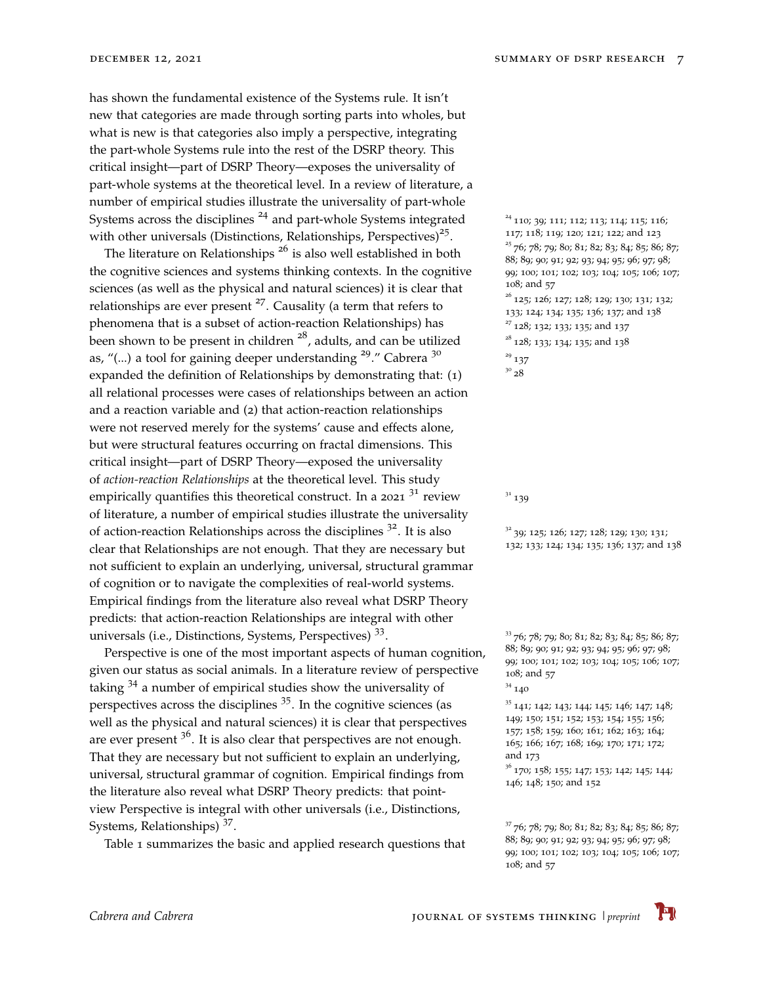has shown the fundamental existence of the Systems rule. It isn't new that categories are made through sorting parts into wholes, but what is new is that categories also imply a perspective, integrating the part-whole Systems rule into the rest of the DSRP theory. This critical insight—part of DSRP Theory—exposes the universality of part-whole systems at the theoretical level. In a review of literature, a number of empirical studies illustrate the universality of part-whole Systems across the disciplines  $^{24}$  and part-whole Systems integrated  $^{24}$  110; 39; 111; 112; 113; 114; 115; 114; 114; 115; 114; 115; 114; 115; 114; 115; 114; 115; 114; 115; 114; 115; 114; 115; 114; 115; 114; 115; 119 with other universals (Distinctions, Relationships, Perspectives)<sup>25</sup>. [117](#page-20-11); [118](#page-20-12); [119](#page-20-13); [120](#page-20-14); [121](#page-21-0); [122](#page-21-1); and [123](#page-21-2)

The literature on Relationships  $^{26}$  is also well established in both the cognitive sciences and systems thinking contexts. In the cognitive sciences (as well as the physical and natural sciences) it is clear that relationships are ever present  $27$ . Causality (a term that refers to phenomena that is a subset of action-reaction Relationships) has  $\frac{27}{128}$  $\frac{27}{128}$  $\frac{27}{128}$ ; [132](#page-21-11); [133](#page-21-12); [135](#page-21-14); and [137](#page-22-1) been shown to be present in children  $^{28}$ , adults, and can be utilized  $^{28}$  [128](#page-21-7); [133](#page-21-12); [134](#page-21-13); [135](#page-21-14); and [138](#page-22-2) as, "(...) a tool for gaining deeper understanding <sup>29</sup>." Cabrera <sup>30</sup> <sup>29</sup> expanded the definition of Relationships by demonstrating that:  $(1)$ all relational processes were cases of relationships between an action and a reaction variable and (2) that action-reaction relationships were not reserved merely for the systems' cause and effects alone, but were structural features occurring on fractal dimensions. This critical insight—part of DSRP Theory—exposed the universality of *action-reaction Relationships* at the theoretical level. This study empirically quantifies this theoretical construct. In a 2021  $3^1$  review  $3^1$ of literature, a number of empirical studies illustrate the universality of action-reaction Relationships across the disciplines  $3^2$ . It is also [132](#page-21-11); [133](#page-21-12); [124](#page-21-3); [134](#page-21-13); [135](#page-21-14); [136](#page-22-0); [137](#page-22-1); and [138](#page-22-2) clear that Relationships are not enough. That they are necessary but not sufficient to explain an underlying, universal, structural grammar of cognition or to navigate the complexities of real-world systems. Empirical findings from the literature also reveal what DSRP Theory predicts: that action-reaction Relationships are integral with other universals (i.e., Distinctions, Systems, Perspectives)<sup>33</sup>.

Perspective is one of the most important aspects of human cognition, given our status as social animals. In a literature review of perspective taking  $34$  a number of empirical studies show the universality of perspectives across the disciplines  $35$ . In the cognitive sciences (as well as the physical and natural sciences) it is clear that perspectives are ever present  $3^6$ . It is also clear that perspectives are not enough. That they are necessary but not sufficient to explain an underlying, universal, structural grammar of cognition. Empirical findings from the literature also reveal what DSRP Theory predicts: that pointview Perspective is integral with other universals (i.e., Distinctions, Systems, Relationships)<sup>37</sup>.

Table [1](#page-3-0) summarizes the basic and applied research questions that

 [110](#page-20-4); [39](#page-15-3); [111](#page-20-5); [112](#page-20-6); [113](#page-20-7); [114](#page-20-8); [115](#page-20-9); [116](#page-20-10); [76](#page-17-14); [78](#page-18-1); [79](#page-18-2); [80](#page-18-3); [81](#page-18-4); [82](#page-18-5); [83](#page-18-6); [84](#page-18-7); [85](#page-18-8); [86](#page-18-9); [87](#page-18-10); ; [89](#page-18-12); [90](#page-18-13); [91](#page-18-14); [92](#page-19-0); [93](#page-19-1); [94](#page-19-2); [95](#page-19-3); [96](#page-19-4); [97](#page-19-5); [98](#page-19-6); ; [100](#page-19-8); [101](#page-19-9); [102](#page-19-10); [103](#page-19-11); [104](#page-19-12); [105](#page-19-13); [106](#page-20-0); [107](#page-20-1); [108](#page-20-2); and [57](#page-16-8) <sup>26</sup> [125](#page-21-4); [126](#page-21-5); [127](#page-21-6); [128](#page-21-7); [129](#page-21-8); [130](#page-21-9); [131](#page-21-10); [132](#page-21-11); ; [124](#page-21-3); [134](#page-21-13); [135](#page-21-14); [136](#page-22-0); [137](#page-22-1); and [138](#page-22-2)

 $^{29}$  [137](#page-22-1)

 $31$  [139](#page-22-3)

 $32$  [39](#page-15-3); [125](#page-21-4); [126](#page-21-5); [127](#page-21-6); [128](#page-21-7); [129](#page-21-8); [130](#page-21-9); [131](#page-21-10);

 [76](#page-17-14); [78](#page-18-1); [79](#page-18-2); [80](#page-18-3); [81](#page-18-4); [82](#page-18-5); [83](#page-18-6); [84](#page-18-7); [85](#page-18-8); [86](#page-18-9); [87](#page-18-10); ; [89](#page-18-12); [90](#page-18-13); [91](#page-18-14); [92](#page-19-0); [93](#page-19-1); [94](#page-19-2); [95](#page-19-3); [96](#page-19-4); [97](#page-19-5); [98](#page-19-6); ; [100](#page-19-8); [101](#page-19-9); [102](#page-19-10); [103](#page-19-11); [104](#page-19-12); [105](#page-19-13); [106](#page-20-0); [107](#page-20-1); [108](#page-20-2); and [57](#page-16-8)

; [142](#page-22-6); [143](#page-22-7); [144](#page-22-8); [145](#page-22-9); [146](#page-22-10); [147](#page-22-11); [148](#page-23-0); ; [150](#page-23-2); [151](#page-23-3); [152](#page-23-4); [153](#page-23-5); [154](#page-23-6); [155](#page-23-7); [156](#page-23-8); ; [158](#page-23-10); [159](#page-23-11); [160](#page-23-12); [161](#page-23-13); [162](#page-24-0); [163](#page-24-1); [164](#page-24-2); ; [166](#page-24-4); [167](#page-24-5); [168](#page-24-6); [169](#page-24-7); [170](#page-24-8); [171](#page-24-9); [172](#page-24-10); and [173](#page-24-11)

<sup>36</sup> [170](#page-24-8); [158](#page-23-10); [155](#page-23-7); [147](#page-22-11); [153](#page-23-5); [142](#page-22-6); [145](#page-22-9); [144](#page-22-8); [146](#page-22-10); [148](#page-23-0); [150](#page-23-2); and [152](#page-23-4)

 [76](#page-17-14); [78](#page-18-1); [79](#page-18-2); [80](#page-18-3); [81](#page-18-4); [82](#page-18-5); [83](#page-18-6); [84](#page-18-7); [85](#page-18-8); [86](#page-18-9); [87](#page-18-10); ; [89](#page-18-12); [90](#page-18-13); [91](#page-18-14); [92](#page-19-0); [93](#page-19-1); [94](#page-19-2); [95](#page-19-3); [96](#page-19-4); [97](#page-19-5); [98](#page-19-6); ; [100](#page-19-8); [101](#page-19-9); [102](#page-19-10); [103](#page-19-11); [104](#page-19-12); [105](#page-19-13); [106](#page-20-0); [107](#page-20-1); [108](#page-20-2); and [57](#page-16-8)



 $34140$  $34140$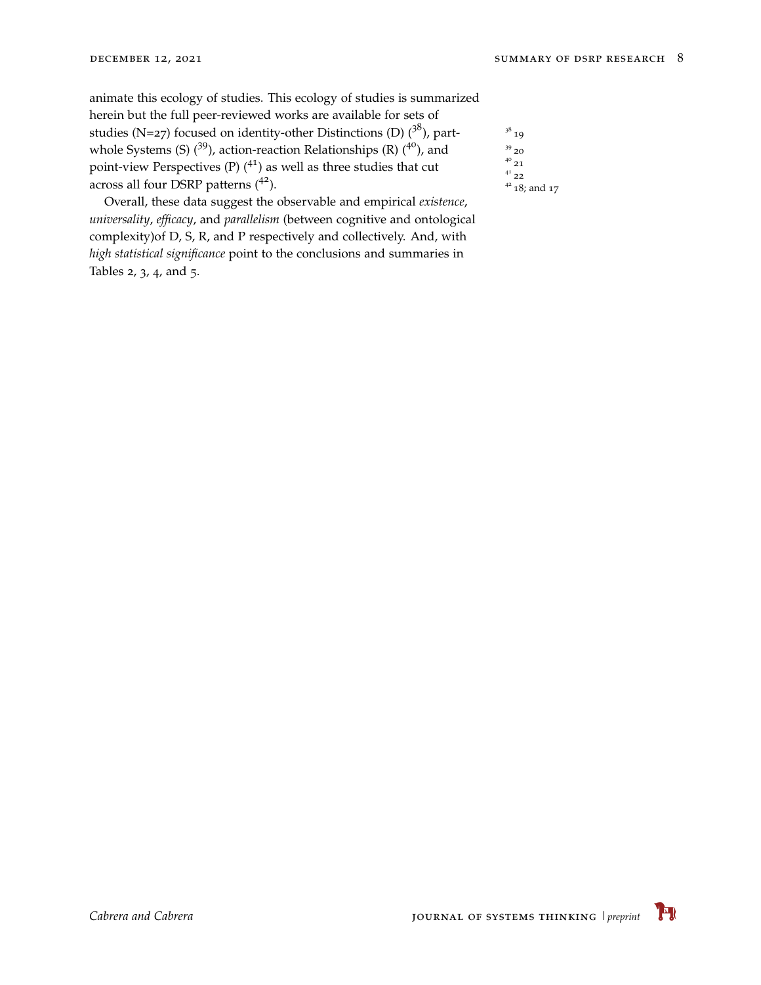animate this ecology of studies. This ecology of studies is summarized herein but the full peer-reviewed works are available for sets of studies (N=27) focused on identity-other Distinctions (D)  $(3^8)$ , partwhole Systems (S)  $(^{39}$ ), action-reaction Relationships (R)  $(^{40}$ ), and point-view Perspectives (P)  $(4)$  as well as three studies that cut across all four DSRP patterns  $(4^2)$ .  $4^2$   $18$ ; and [17](#page-13-3)

Overall, these data suggest the observable and empirical *existence*, *universality*, *efficacy*, and *parallelism* (between cognitive and ontological complexity)of D, S, R, and P respectively and collectively. And, with *high statistical significance* point to the conclusions and summaries in Tables [2](#page-5-0), [3](#page-5-0), [4](#page-5-0), and [5](#page-5-0).

 $3^8$  [19](#page-13-5)  $^\mathrm{39}$  [20](#page-13-6) 40 [22](#page-13-8)

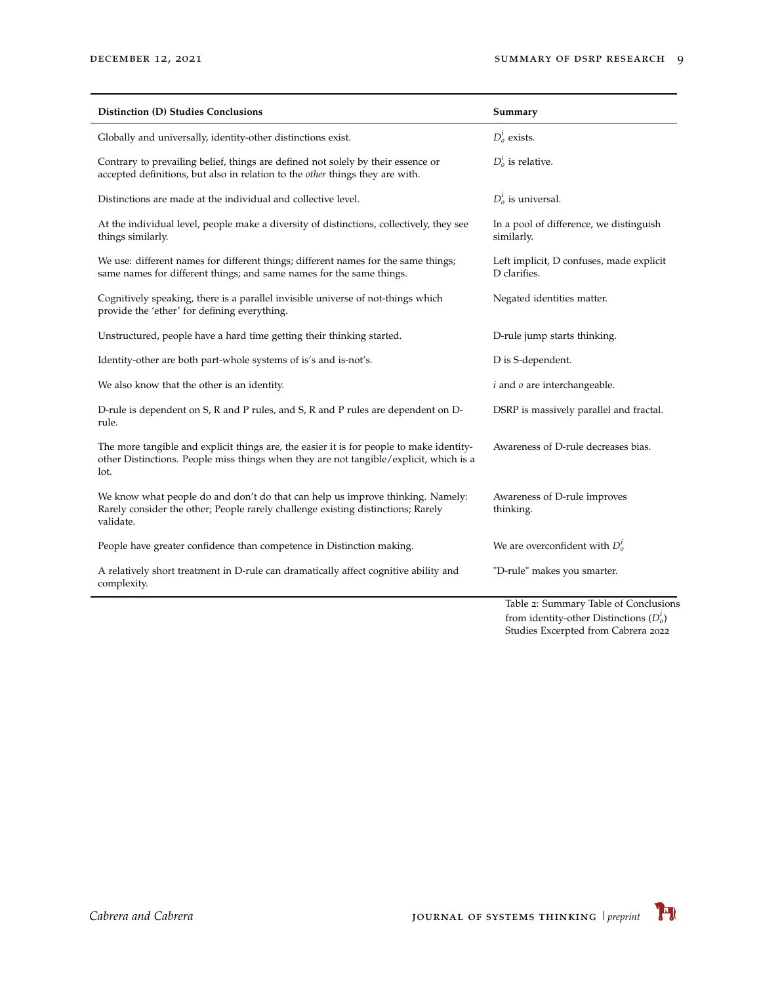| Distinction (D) Studies Conclusions                                                                                                                                                        | Summary                                                  |
|--------------------------------------------------------------------------------------------------------------------------------------------------------------------------------------------|----------------------------------------------------------|
| Globally and universally, identity-other distinctions exist.                                                                                                                               | $D_0^i$ exists.                                          |
| Contrary to prevailing belief, things are defined not solely by their essence or<br>accepted definitions, but also in relation to the other things they are with.                          | $D_0^i$ is relative.                                     |
| Distinctions are made at the individual and collective level.                                                                                                                              | $D_0^t$ is universal.                                    |
| At the individual level, people make a diversity of distinctions, collectively, they see<br>things similarly.                                                                              | In a pool of difference, we distinguish<br>similarly.    |
| We use: different names for different things; different names for the same things;<br>same names for different things; and same names for the same things.                                 | Left implicit, D confuses, made explicit<br>D clarifies. |
| Cognitively speaking, there is a parallel invisible universe of not-things which<br>provide the 'ether' for defining everything.                                                           | Negated identities matter.                               |
| Unstructured, people have a hard time getting their thinking started.                                                                                                                      | D-rule jump starts thinking.                             |
| Identity-other are both part-whole systems of is's and is-not's.                                                                                                                           | D is S-dependent.                                        |
| We also know that the other is an identity.                                                                                                                                                | $i$ and $o$ are interchangeable.                         |
| D-rule is dependent on S, R and P rules, and S, R and P rules are dependent on D-<br>rule.                                                                                                 | DSRP is massively parallel and fractal.                  |
| The more tangible and explicit things are, the easier it is for people to make identity-<br>other Distinctions. People miss things when they are not tangible/explicit, which is a<br>lot. | Awareness of D-rule decreases bias.                      |
| We know what people do and don't do that can help us improve thinking. Namely:<br>Rarely consider the other; People rarely challenge existing distinctions; Rarely<br>validate.            | Awareness of D-rule improves<br>thinking.                |
| People have greater confidence than competence in Distinction making.                                                                                                                      | We are overconfident with $D_0^l$                        |
| A relatively short treatment in D-rule can dramatically affect cognitive ability and<br>complexity.                                                                                        | "D-rule" makes you smarter.                              |
|                                                                                                                                                                                            | Table 2: Summary Table of Conclusions                    |

from identity-other Distinctions  $(D_o^i)$ Studies Excerpted from Cabrera 2022

 $\mathbf{F}$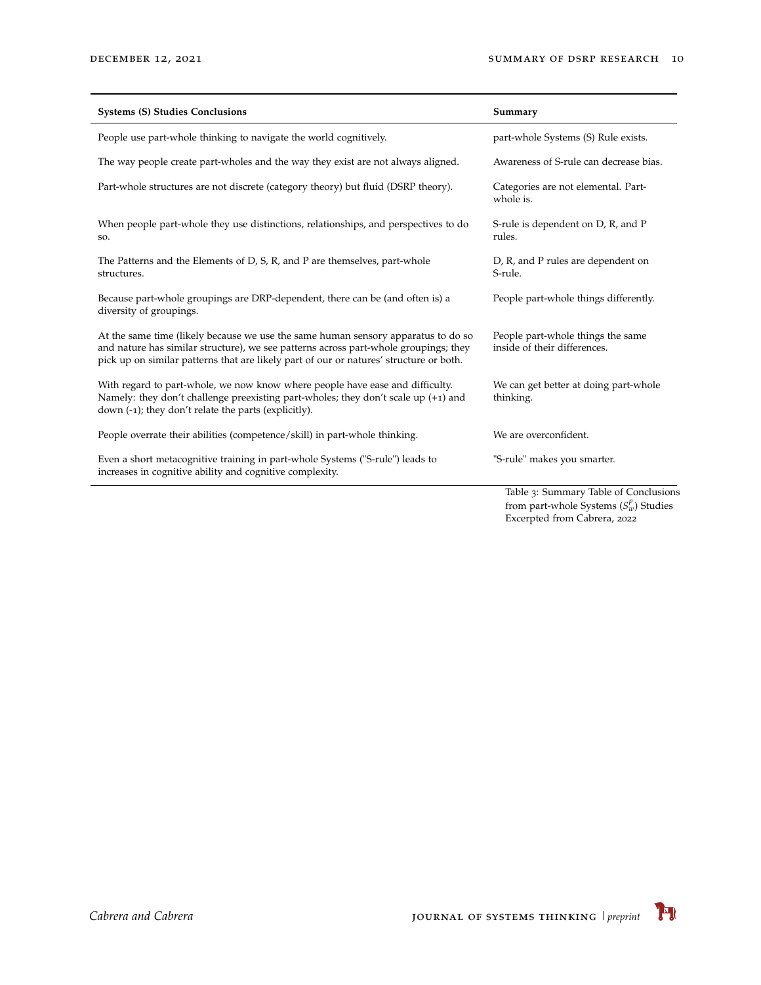| <b>Systems (S) Studies Conclusions</b>                                                                                                                                                                                                                              | Summary                                                           |
|---------------------------------------------------------------------------------------------------------------------------------------------------------------------------------------------------------------------------------------------------------------------|-------------------------------------------------------------------|
| People use part-whole thinking to navigate the world cognitively.                                                                                                                                                                                                   | part-whole Systems (S) Rule exists.                               |
| The way people create part-wholes and the way they exist are not always aligned.                                                                                                                                                                                    | Awareness of S-rule can decrease bias.                            |
| Part-whole structures are not discrete (category theory) but fluid (DSRP theory).                                                                                                                                                                                   | Categories are not elemental. Part-<br>whole is.                  |
| When people part-whole they use distinctions, relationships, and perspectives to do<br>SO.                                                                                                                                                                          | S-rule is dependent on D, R, and P<br>rules.                      |
| The Patterns and the Elements of D, S, R, and P are themselves, part-whole<br>structures.                                                                                                                                                                           | D, R, and P rules are dependent on<br>S-rule.                     |
| Because part-whole groupings are DRP-dependent, there can be (and often is) a<br>diversity of groupings.                                                                                                                                                            | People part-whole things differently.                             |
| At the same time (likely because we use the same human sensory apparatus to do so<br>and nature has similar structure), we see patterns across part-whole groupings; they<br>pick up on similar patterns that are likely part of our or natures' structure or both. | People part-whole things the same<br>inside of their differences. |
| With regard to part-whole, we now know where people have ease and difficulty.<br>Namely: they don't challenge preexisting part-wholes; they don't scale up $(+1)$ and<br>down $(-1)$ ; they don't relate the parts (explicitly).                                    | We can get better at doing part-whole<br>thinking.                |
| People overrate their abilities (competence/skill) in part-whole thinking.                                                                                                                                                                                          | We are overconfident.                                             |
| Even a short metacognitive training in part-whole Systems ("S-rule") leads to<br>increases in cognitive ability and cognitive complexity.                                                                                                                           | "S-rule" makes you smarter.                                       |
|                                                                                                                                                                                                                                                                     | Table 3: Summary Table of Conclusions                             |

from part-whole Systems ( $S_w^p$ ) Studies Excerpted from Cabrera, 2022

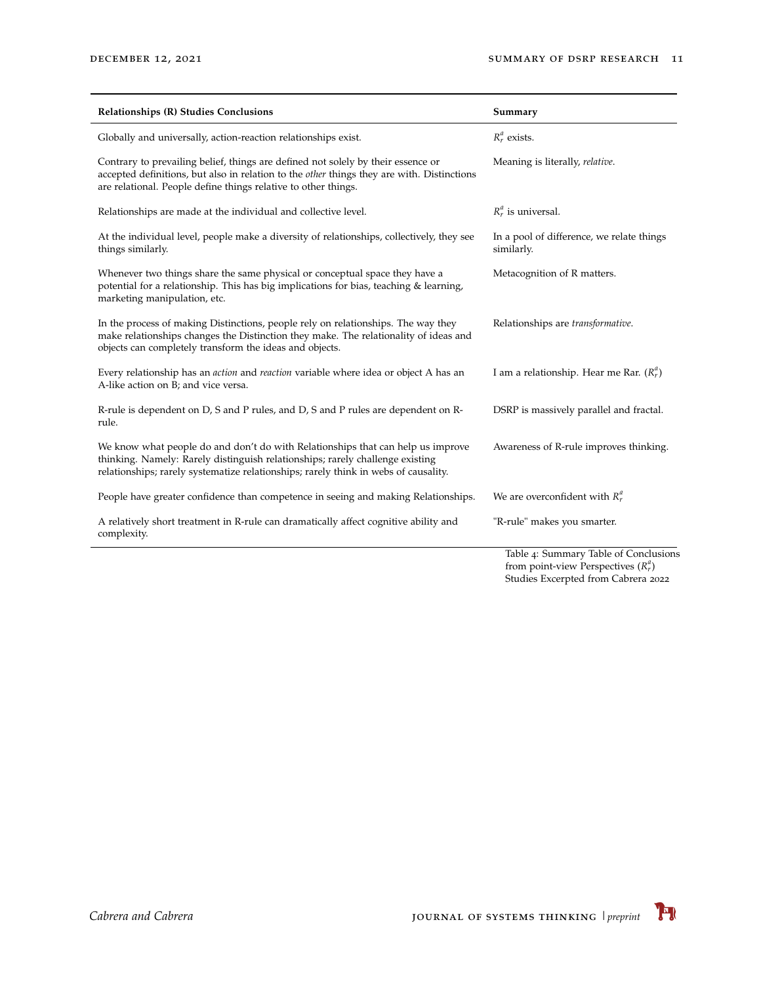| Relationships (R) Studies Conclusions                                                                                                                                                                                                                   | Summary                                                                             |
|---------------------------------------------------------------------------------------------------------------------------------------------------------------------------------------------------------------------------------------------------------|-------------------------------------------------------------------------------------|
| Globally and universally, action-reaction relationships exist.                                                                                                                                                                                          | $R_r^a$ exists.                                                                     |
| Contrary to prevailing belief, things are defined not solely by their essence or<br>accepted definitions, but also in relation to the <i>other</i> things they are with. Distinctions<br>are relational. People define things relative to other things. | Meaning is literally, relative.                                                     |
| Relationships are made at the individual and collective level.                                                                                                                                                                                          | $R_r^a$ is universal.                                                               |
| At the individual level, people make a diversity of relationships, collectively, they see<br>things similarly.                                                                                                                                          | In a pool of difference, we relate things<br>similarly.                             |
| Whenever two things share the same physical or conceptual space they have a<br>potential for a relationship. This has big implications for bias, teaching & learning,<br>marketing manipulation, etc.                                                   | Metacognition of R matters.                                                         |
| In the process of making Distinctions, people rely on relationships. The way they<br>make relationships changes the Distinction they make. The relationality of ideas and<br>objects can completely transform the ideas and objects.                    | Relationships are transformative.                                                   |
| Every relationship has an <i>action</i> and <i>reaction</i> variable where idea or object A has an<br>A-like action on B; and vice versa.                                                                                                               | I am a relationship. Hear me Rar. $(R_r^n)$                                         |
| R-rule is dependent on D, S and P rules, and D, S and P rules are dependent on R-<br>rule.                                                                                                                                                              | DSRP is massively parallel and fractal.                                             |
| We know what people do and don't do with Relationships that can help us improve<br>thinking. Namely: Rarely distinguish relationships; rarely challenge existing<br>relationships; rarely systematize relationships; rarely think in webs of causality. | Awareness of R-rule improves thinking.                                              |
| People have greater confidence than competence in seeing and making Relationships.                                                                                                                                                                      | We are overconfident with $R_r^u$                                                   |
| A relatively short treatment in R-rule can dramatically affect cognitive ability and<br>complexity.                                                                                                                                                     | "R-rule" makes you smarter.                                                         |
|                                                                                                                                                                                                                                                         | Table 4: Summary Table of Conclusions<br>$from point\_right$ Porcocctives ( $R^u$ ) |

from point-view Perspectives ( $R_r^a$ )<br>Studies Excerpted from Cabrera 2022

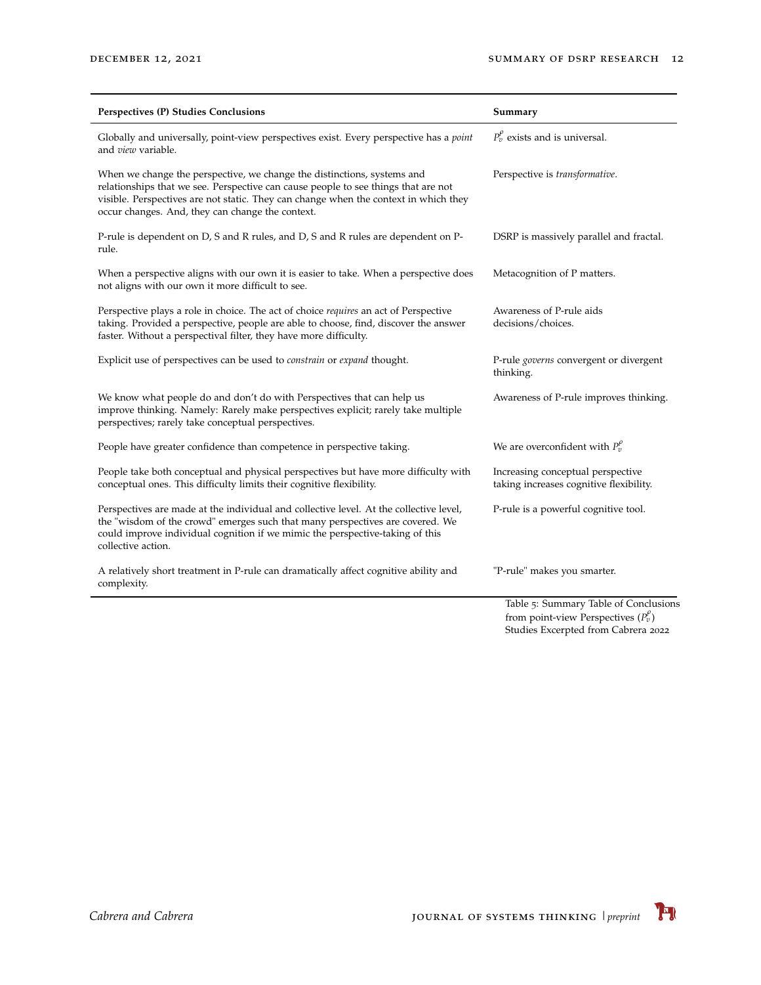| Perspectives (P) Studies Conclusions                                                                                                                                                                                                                                                                      | Summary                                                                                                                   |
|-----------------------------------------------------------------------------------------------------------------------------------------------------------------------------------------------------------------------------------------------------------------------------------------------------------|---------------------------------------------------------------------------------------------------------------------------|
| Globally and universally, point-view perspectives exist. Every perspective has a <i>point</i><br>and <i>view</i> variable.                                                                                                                                                                                | $P_v^{\rho}$ exists and is universal.                                                                                     |
| When we change the perspective, we change the distinctions, systems and<br>relationships that we see. Perspective can cause people to see things that are not<br>visible. Perspectives are not static. They can change when the context in which they<br>occur changes. And, they can change the context. | Perspective is transformative.                                                                                            |
| P-rule is dependent on D, S and R rules, and D, S and R rules are dependent on P-<br>rule.                                                                                                                                                                                                                | DSRP is massively parallel and fractal.                                                                                   |
| When a perspective aligns with our own it is easier to take. When a perspective does<br>not aligns with our own it more difficult to see.                                                                                                                                                                 | Metacognition of P matters.                                                                                               |
| Perspective plays a role in choice. The act of choice <i>requires</i> an act of Perspective<br>taking. Provided a perspective, people are able to choose, find, discover the answer<br>faster. Without a perspectival filter, they have more difficulty.                                                  | Awareness of P-rule aids<br>decisions/choices.                                                                            |
| Explicit use of perspectives can be used to <i>constrain</i> or <i>expand</i> thought.                                                                                                                                                                                                                    | P-rule <i>governs</i> convergent or divergent<br>thinking.                                                                |
| We know what people do and don't do with Perspectives that can help us<br>improve thinking. Namely: Rarely make perspectives explicit; rarely take multiple<br>perspectives; rarely take conceptual perspectives.                                                                                         | Awareness of P-rule improves thinking.                                                                                    |
| People have greater confidence than competence in perspective taking.                                                                                                                                                                                                                                     | We are overconfident with $P_v^{\rho}$                                                                                    |
| People take both conceptual and physical perspectives but have more difficulty with<br>conceptual ones. This difficulty limits their cognitive flexibility.                                                                                                                                               | Increasing conceptual perspective<br>taking increases cognitive flexibility.                                              |
| Perspectives are made at the individual and collective level. At the collective level,<br>the "wisdom of the crowd" emerges such that many perspectives are covered. We<br>could improve individual cognition if we mimic the perspective-taking of this<br>collective action.                            | P-rule is a powerful cognitive tool.                                                                                      |
| A relatively short treatment in P-rule can dramatically affect cognitive ability and<br>complexity.                                                                                                                                                                                                       | "P-rule" makes you smarter.                                                                                               |
|                                                                                                                                                                                                                                                                                                           | Table 5: Summary Table of Conclusions<br>$f_{\text{meas}}$ is the first set of $D_{\text{meas}}$ is the set $(D^{\beta})$ |

from point-view Perspectives (*P*<sup>ρ</sup>)<br>Studies Excerpted from Cabrera 2022

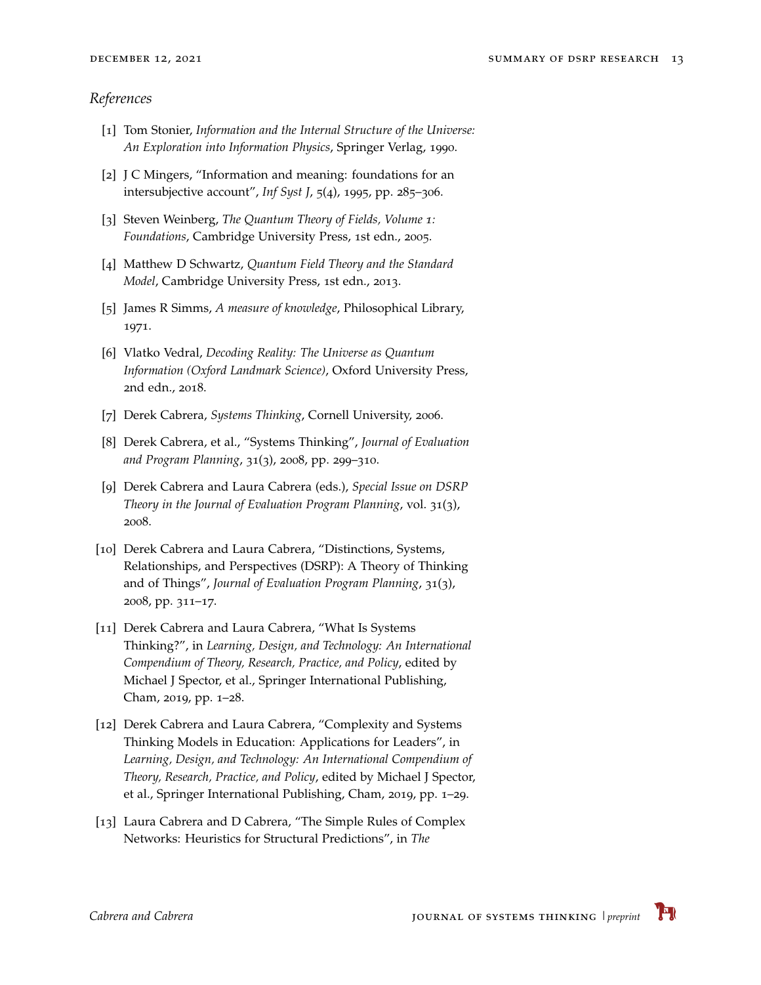#### *References*

- [1] Tom Stonier, *Information and the Internal Structure of the Universe: An Exploration into Information Physics*, Springer Verlag, 1990.
- <span id="page-12-0"></span>[2] J C Mingers, "Information and meaning: foundations for an intersubjective account", *Inf Syst J*, 5(4), 1995, pp. 285–306.
- <span id="page-12-1"></span>[3] Steven Weinberg, *The Quantum Theory of Fields, Volume 1: Foundations*, Cambridge University Press, 1st edn., 2005.
- <span id="page-12-2"></span>[4] Matthew D Schwartz, *Quantum Field Theory and the Standard Model*, Cambridge University Press, 1st edn., 2013.
- <span id="page-12-3"></span>[5] James R Simms, *A measure of knowledge*, Philosophical Library, 1971.
- <span id="page-12-4"></span>[6] Vlatko Vedral, *Decoding Reality: The Universe as Quantum Information (Oxford Landmark Science)*, Oxford University Press, 2nd edn., 2018.
- <span id="page-12-5"></span>[7] Derek Cabrera, *Systems Thinking*, Cornell University, 2006.
- <span id="page-12-6"></span>[8] Derek Cabrera, et al., "Systems Thinking", *Journal of Evaluation and Program Planning*, 31(3), 2008, pp. 299–310.
- <span id="page-12-7"></span>[9] Derek Cabrera and Laura Cabrera (eds.), *Special Issue on DSRP Theory in the Journal of Evaluation Program Planning*, vol. 31(3), 2008.
- <span id="page-12-8"></span>[10] Derek Cabrera and Laura Cabrera, "Distinctions, Systems, Relationships, and Perspectives (DSRP): A Theory of Thinking and of Things", *Journal of Evaluation Program Planning*, 31(3), 2008, pp. 311–17.
- <span id="page-12-9"></span>[11] Derek Cabrera and Laura Cabrera, "What Is Systems Thinking?", in *Learning, Design, and Technology: An International Compendium of Theory, Research, Practice, and Policy*, edited by Michael J Spector, et al., Springer International Publishing, Cham, 2019, pp. 1–28.
- <span id="page-12-10"></span>[12] Derek Cabrera and Laura Cabrera, "Complexity and Systems Thinking Models in Education: Applications for Leaders", in *Learning, Design, and Technology: An International Compendium of Theory, Research, Practice, and Policy*, edited by Michael J Spector, et al., Springer International Publishing, Cham, 2019, pp. 1–29.
- <span id="page-12-11"></span>[13] Laura Cabrera and D Cabrera, "The Simple Rules of Complex Networks: Heuristics for Structural Predictions", in *The*

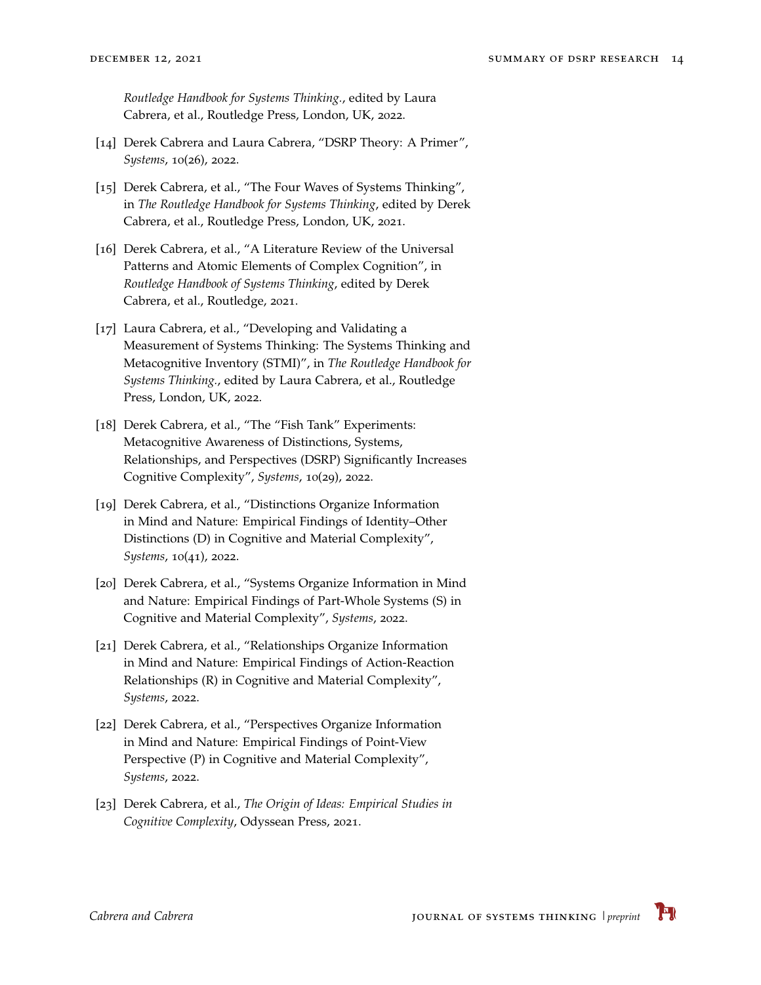*Routledge Handbook for Systems Thinking.*, edited by Laura Cabrera, et al., Routledge Press, London, UK, 2022.

- <span id="page-13-0"></span>[14] Derek Cabrera and Laura Cabrera, "DSRP Theory: A Primer", *Systems*, 10(26), 2022.
- <span id="page-13-1"></span>[15] Derek Cabrera, et al., "The Four Waves of Systems Thinking", in *The Routledge Handbook for Systems Thinking*, edited by Derek Cabrera, et al., Routledge Press, London, UK, 2021.
- <span id="page-13-2"></span>[16] Derek Cabrera, et al., "A Literature Review of the Universal Patterns and Atomic Elements of Complex Cognition", in *Routledge Handbook of Systems Thinking*, edited by Derek Cabrera, et al., Routledge, 2021.
- <span id="page-13-3"></span>[17] Laura Cabrera, et al., "Developing and Validating a Measurement of Systems Thinking: The Systems Thinking and Metacognitive Inventory (STMI)", in *The Routledge Handbook for Systems Thinking.*, edited by Laura Cabrera, et al., Routledge Press, London, UK, 2022.
- <span id="page-13-4"></span>[18] Derek Cabrera, et al., "The "Fish Tank" Experiments: Metacognitive Awareness of Distinctions, Systems, Relationships, and Perspectives (DSRP) Significantly Increases Cognitive Complexity", *Systems*, 10(29), 2022.
- <span id="page-13-5"></span>[19] Derek Cabrera, et al., "Distinctions Organize Information in Mind and Nature: Empirical Findings of Identity–Other Distinctions (D) in Cognitive and Material Complexity", *Systems*, 10(41), 2022.
- <span id="page-13-6"></span>[20] Derek Cabrera, et al., "Systems Organize Information in Mind and Nature: Empirical Findings of Part-Whole Systems (S) in Cognitive and Material Complexity", *Systems*, 2022.
- <span id="page-13-7"></span>[21] Derek Cabrera, et al., "Relationships Organize Information in Mind and Nature: Empirical Findings of Action-Reaction Relationships (R) in Cognitive and Material Complexity", *Systems*, 2022.
- <span id="page-13-8"></span>[22] Derek Cabrera, et al., "Perspectives Organize Information in Mind and Nature: Empirical Findings of Point-View Perspective (P) in Cognitive and Material Complexity", *Systems*, 2022.
- <span id="page-13-9"></span>[23] Derek Cabrera, et al., *The Origin of Ideas: Empirical Studies in Cognitive Complexity*, Odyssean Press, 2021.

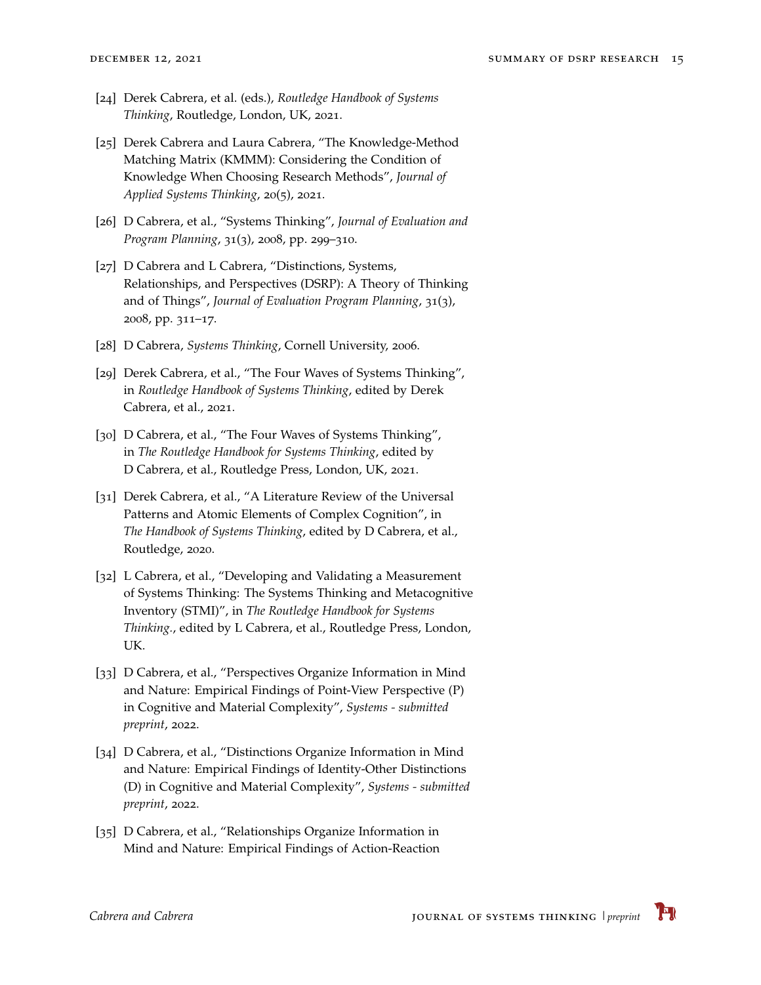- <span id="page-14-0"></span>[24] Derek Cabrera, et al. (eds.), *Routledge Handbook of Systems Thinking*, Routledge, London, UK, 2021.
- <span id="page-14-1"></span>[25] Derek Cabrera and Laura Cabrera, "The Knowledge-Method Matching Matrix (KMMM): Considering the Condition of Knowledge When Choosing Research Methods", *Journal of Applied Systems Thinking*, 20(5), 2021.
- <span id="page-14-2"></span>[26] D Cabrera, et al., "Systems Thinking", *Journal of Evaluation and Program Planning*, 31(3), 2008, pp. 299–310.
- <span id="page-14-3"></span>[27] D Cabrera and L Cabrera, "Distinctions, Systems, Relationships, and Perspectives (DSRP): A Theory of Thinking and of Things", *Journal of Evaluation Program Planning*, 31(3), 2008, pp. 311–17.
- <span id="page-14-4"></span>[28] D Cabrera, *Systems Thinking*, Cornell University, 2006.
- <span id="page-14-5"></span>[29] Derek Cabrera, et al., "The Four Waves of Systems Thinking", in *Routledge Handbook of Systems Thinking*, edited by Derek Cabrera, et al., 2021.
- <span id="page-14-6"></span>[30] D Cabrera, et al., "The Four Waves of Systems Thinking", in *The Routledge Handbook for Systems Thinking*, edited by D Cabrera, et al., Routledge Press, London, UK, 2021.
- <span id="page-14-7"></span>[31] Derek Cabrera, et al., "A Literature Review of the Universal Patterns and Atomic Elements of Complex Cognition", in *The Handbook of Systems Thinking*, edited by D Cabrera, et al., Routledge, 2020.
- <span id="page-14-8"></span>[32] L Cabrera, et al., "Developing and Validating a Measurement of Systems Thinking: The Systems Thinking and Metacognitive Inventory (STMI)", in *The Routledge Handbook for Systems Thinking.*, edited by L Cabrera, et al., Routledge Press, London, UK.
- <span id="page-14-9"></span>[33] D Cabrera, et al., "Perspectives Organize Information in Mind and Nature: Empirical Findings of Point-View Perspective (P) in Cognitive and Material Complexity", *Systems - submitted preprint*, 2022.
- <span id="page-14-10"></span>[34] D Cabrera, et al., "Distinctions Organize Information in Mind and Nature: Empirical Findings of Identity-Other Distinctions (D) in Cognitive and Material Complexity", *Systems - submitted preprint*, 2022.
- <span id="page-14-11"></span>[35] D Cabrera, et al., "Relationships Organize Information in Mind and Nature: Empirical Findings of Action-Reaction

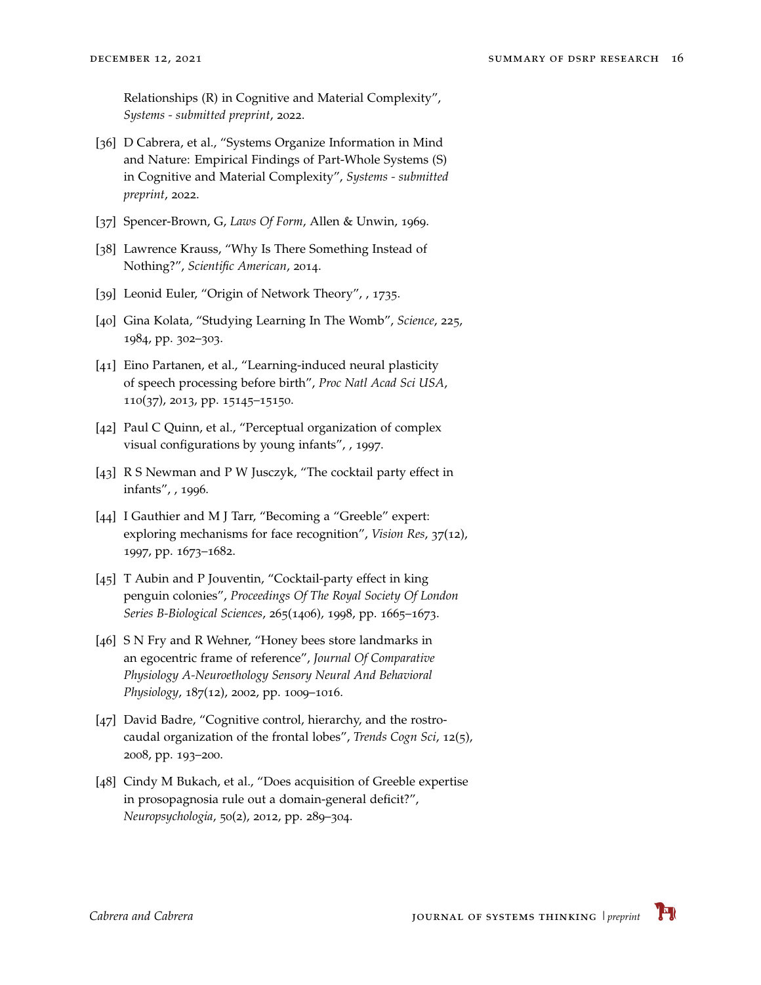Relationships (R) in Cognitive and Material Complexity", *Systems - submitted preprint*, 2022.

- <span id="page-15-0"></span>[36] D Cabrera, et al., "Systems Organize Information in Mind and Nature: Empirical Findings of Part-Whole Systems (S) in Cognitive and Material Complexity", *Systems - submitted preprint*, 2022.
- <span id="page-15-1"></span>[37] Spencer-Brown, G, *Laws Of Form*, Allen & Unwin, 1969.
- <span id="page-15-2"></span>[38] Lawrence Krauss, "Why Is There Something Instead of Nothing?", *Scientific American*, 2014.
- <span id="page-15-3"></span>[39] Leonid Euler, "Origin of Network Theory", , 1735.
- <span id="page-15-4"></span>[40] Gina Kolata, "Studying Learning In The Womb", *Science*, 225, 1984, pp. 302–303.
- <span id="page-15-5"></span>[41] Eino Partanen, et al., "Learning-induced neural plasticity of speech processing before birth", *Proc Natl Acad Sci USA*, 110(37), 2013, pp. 15145–15150.
- <span id="page-15-6"></span>[42] Paul C Quinn, et al., "Perceptual organization of complex visual configurations by young infants", , 1997.
- <span id="page-15-7"></span>[43] R S Newman and P W Jusczyk, "The cocktail party effect in infants", , 1996.
- <span id="page-15-8"></span>[44] I Gauthier and M J Tarr, "Becoming a "Greeble" expert: exploring mechanisms for face recognition", *Vision Res*, 37(12), 1997, pp. 1673–1682.
- <span id="page-15-9"></span>[45] T Aubin and P Jouventin, "Cocktail-party effect in king penguin colonies", *Proceedings Of The Royal Society Of London Series B-Biological Sciences*, 265(1406), 1998, pp. 1665–1673.
- <span id="page-15-10"></span>[46] S N Fry and R Wehner, "Honey bees store landmarks in an egocentric frame of reference", *Journal Of Comparative Physiology A-Neuroethology Sensory Neural And Behavioral Physiology*, 187(12), 2002, pp. 1009–1016.
- <span id="page-15-11"></span>[47] David Badre, "Cognitive control, hierarchy, and the rostrocaudal organization of the frontal lobes", *Trends Cogn Sci*, 12(5), 2008, pp. 193–200.
- <span id="page-15-12"></span>[48] Cindy M Bukach, et al., "Does acquisition of Greeble expertise in prosopagnosia rule out a domain-general deficit?", *Neuropsychologia*, 50(2), 2012, pp. 289–304.

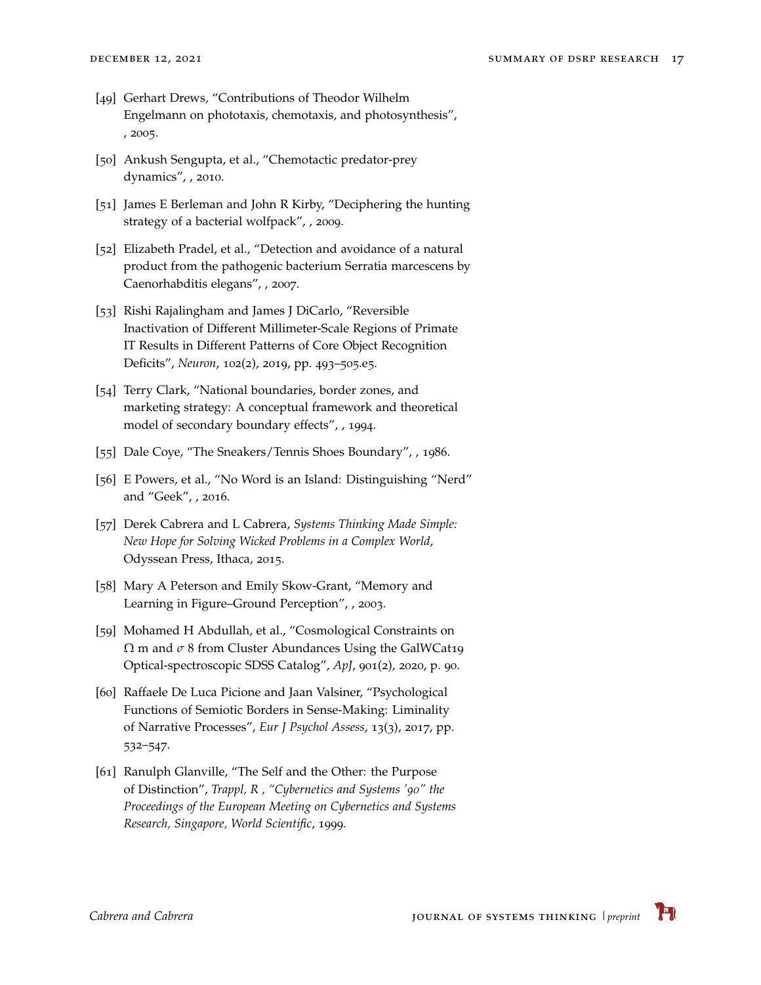- <span id="page-16-0"></span>[49] Gerhart Drews, "Contributions of Theodor Wilhelm Engelmann on phototaxis, chemotaxis, and photosynthesis", , 2005.
- <span id="page-16-1"></span>[50] Ankush Sengupta, et al., "Chemotactic predator-prey dynamics", , 2010.
- <span id="page-16-2"></span>[51] James E Berleman and John R Kirby, "Deciphering the hunting strategy of a bacterial wolfpack", , 2009.
- <span id="page-16-3"></span>[52] Elizabeth Pradel, et al., "Detection and avoidance of a natural product from the pathogenic bacterium Serratia marcescens by Caenorhabditis elegans", , 2007.
- <span id="page-16-4"></span>[53] Rishi Rajalingham and James J DiCarlo, "Reversible Inactivation of Different Millimeter-Scale Regions of Primate IT Results in Different Patterns of Core Object Recognition Deficits", *Neuron*, 102(2), 2019, pp. 493–505.e5.
- <span id="page-16-5"></span>[54] Terry Clark, "National boundaries, border zones, and marketing strategy: A conceptual framework and theoretical model of secondary boundary effects", , 1994.
- <span id="page-16-6"></span>[55] Dale Coye, "The Sneakers/Tennis Shoes Boundary", , 1986.
- <span id="page-16-7"></span>[56] E Powers, et al., "No Word is an Island: Distinguishing "Nerd" and "Geek", , 2016.
- <span id="page-16-8"></span>[57] Derek Cabrera and L Cabrera, *Systems Thinking Made Simple: New Hope for Solving Wicked Problems in a Complex World*, Odyssean Press, Ithaca, 2015.
- <span id="page-16-9"></span>[58] Mary A Peterson and Emily Skow-Grant, "Memory and Learning in Figure–Ground Perception", , 2003.
- <span id="page-16-10"></span>[59] Mohamed H Abdullah, et al., "Cosmological Constraints on Ω m and *σ* 8 from Cluster Abundances Using the GalWCat19 Optical-spectroscopic SDSS Catalog", *ApJ*, 901(2), 2020, p. 90.
- <span id="page-16-11"></span>[60] Raffaele De Luca Picione and Jaan Valsiner, "Psychological Functions of Semiotic Borders in Sense-Making: Liminality of Narrative Processes", *Eur J Psychol Assess*, 13(3), 2017, pp. 532–547.
- <span id="page-16-12"></span>[61] Ranulph Glanville, "The Self and the Other: the Purpose of Distinction", *Trappl, R , "Cybernetics and Systems '90" the Proceedings of the European Meeting on Cybernetics and Systems Research, Singapore, World Scientific*, 1999.

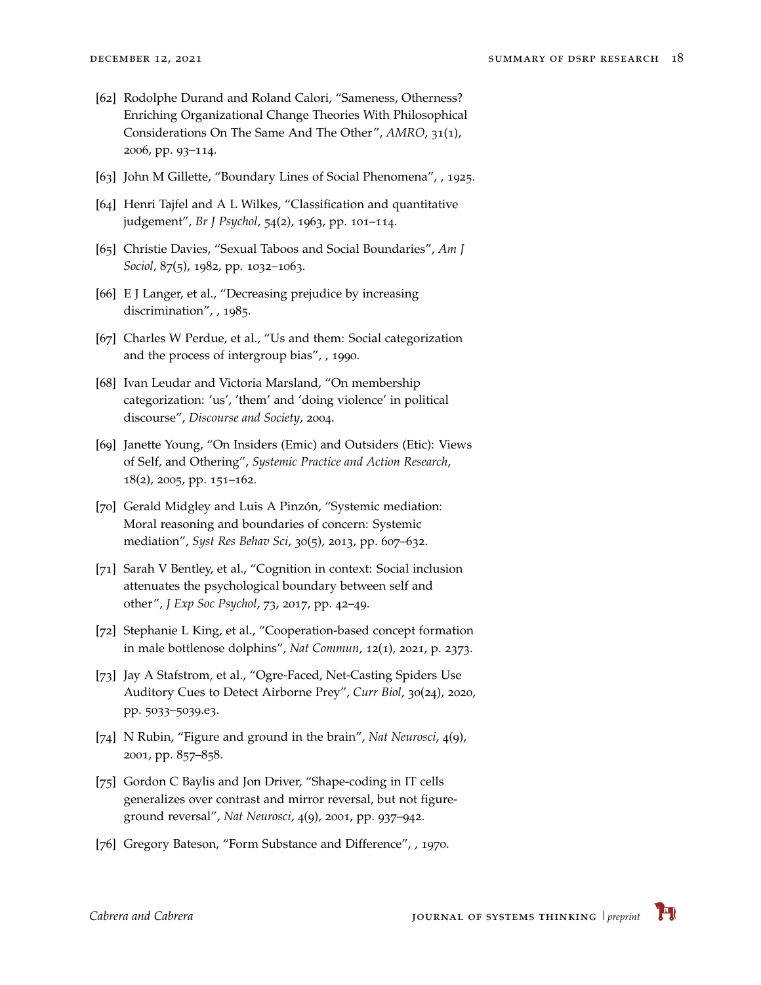- <span id="page-17-0"></span>[62] Rodolphe Durand and Roland Calori, "Sameness, Otherness? Enriching Organizational Change Theories With Philosophical Considerations On The Same And The Other", *AMRO*, 31(1), 2006, pp. 93–114.
- <span id="page-17-1"></span>[63] John M Gillette, "Boundary Lines of Social Phenomena", , 1925.
- <span id="page-17-2"></span>[64] Henri Tajfel and A L Wilkes, "Classification and quantitative judgement", *Br J Psychol*, 54(2), 1963, pp. 101–114.
- <span id="page-17-3"></span>[65] Christie Davies, "Sexual Taboos and Social Boundaries", *Am J Sociol*, 87(5), 1982, pp. 1032–1063.
- <span id="page-17-4"></span>[66] E J Langer, et al., "Decreasing prejudice by increasing discrimination", , 1985.
- <span id="page-17-5"></span>[67] Charles W Perdue, et al., "Us and them: Social categorization and the process of intergroup bias", , 1990.
- <span id="page-17-6"></span>[68] Ivan Leudar and Victoria Marsland, "On membership categorization: 'us', 'them' and 'doing violence' in political discourse", *Discourse and Society*, 2004.
- <span id="page-17-7"></span>[69] Janette Young, "On Insiders (Emic) and Outsiders (Etic): Views of Self, and Othering", *Systemic Practice and Action Research*, 18(2), 2005, pp. 151–162.
- <span id="page-17-8"></span>[70] Gerald Midgley and Luis A Pinzón, "Systemic mediation: Moral reasoning and boundaries of concern: Systemic mediation", *Syst Res Behav Sci*, 30(5), 2013, pp. 607–632.
- <span id="page-17-9"></span>[71] Sarah V Bentley, et al., "Cognition in context: Social inclusion attenuates the psychological boundary between self and other", *J Exp Soc Psychol*, 73, 2017, pp. 42–49.
- <span id="page-17-10"></span>[72] Stephanie L King, et al., "Cooperation-based concept formation in male bottlenose dolphins", *Nat Commun*, 12(1), 2021, p. 2373.
- <span id="page-17-11"></span>[73] Jay A Stafstrom, et al., "Ogre-Faced, Net-Casting Spiders Use Auditory Cues to Detect Airborne Prey", *Curr Biol*, 30(24), 2020, pp. 5033–5039.e3.
- <span id="page-17-12"></span>[74] N Rubin, "Figure and ground in the brain", *Nat Neurosci*, 4(9), 2001, pp. 857–858.
- <span id="page-17-13"></span>[75] Gordon C Baylis and Jon Driver, "Shape-coding in IT cells generalizes over contrast and mirror reversal, but not figureground reversal", *Nat Neurosci*, 4(9), 2001, pp. 937–942.
- <span id="page-17-14"></span>[76] Gregory Bateson, "Form Substance and Difference", , 1970.

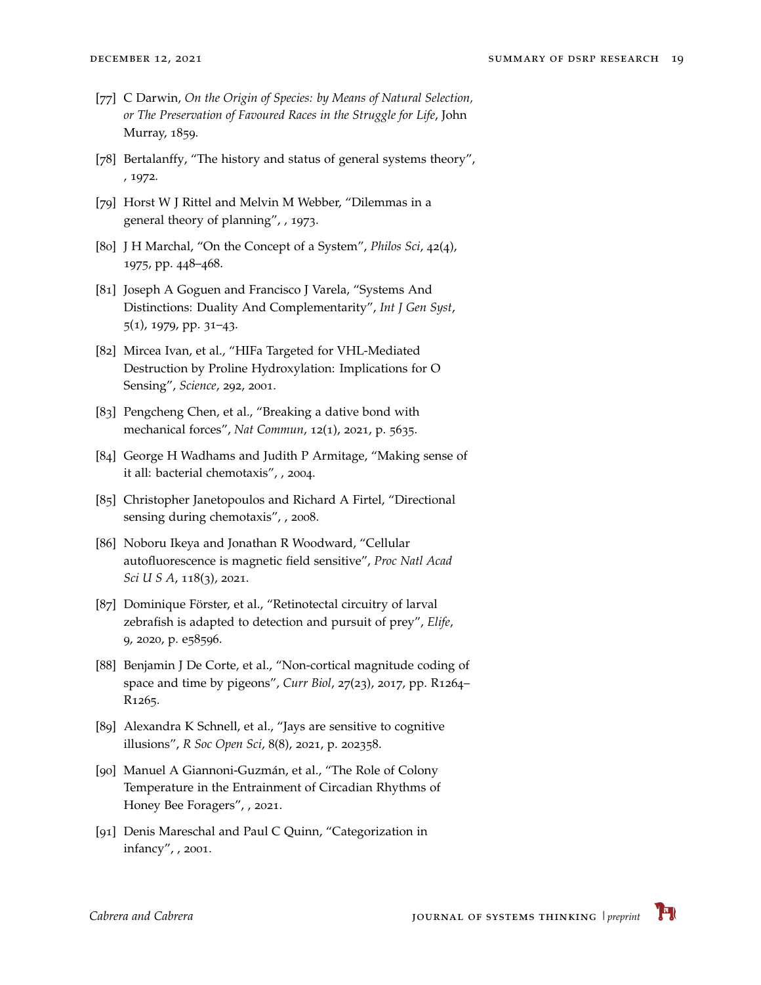- <span id="page-18-0"></span>[77] C Darwin, *On the Origin of Species: by Means of Natural Selection, or The Preservation of Favoured Races in the Struggle for Life*, John Murray, 1859.
- <span id="page-18-1"></span>[78] Bertalanffy, "The history and status of general systems theory", , 1972.
- <span id="page-18-2"></span>[79] Horst W J Rittel and Melvin M Webber, "Dilemmas in a general theory of planning", , 1973.
- <span id="page-18-3"></span>[80] J H Marchal, "On the Concept of a System", *Philos Sci*, 42(4), 1975, pp. 448–468.
- <span id="page-18-4"></span>[81] Joseph A Goguen and Francisco J Varela, "Systems And Distinctions: Duality And Complementarity", *Int J Gen Syst*, 5(1), 1979, pp. 31–43.
- <span id="page-18-5"></span>[82] Mircea Ivan, et al., "HIFa Targeted for VHL-Mediated Destruction by Proline Hydroxylation: Implications for O Sensing", *Science*, 292, 2001.
- <span id="page-18-6"></span>[83] Pengcheng Chen, et al., "Breaking a dative bond with mechanical forces", *Nat Commun*, 12(1), 2021, p. 5635.
- <span id="page-18-7"></span>[84] George H Wadhams and Judith P Armitage, "Making sense of it all: bacterial chemotaxis", , 2004.
- <span id="page-18-8"></span>[85] Christopher Janetopoulos and Richard A Firtel, "Directional sensing during chemotaxis", , 2008.
- <span id="page-18-9"></span>[86] Noboru Ikeya and Jonathan R Woodward, "Cellular autofluorescence is magnetic field sensitive", *Proc Natl Acad Sci U S A*, 118(3), 2021.
- <span id="page-18-10"></span>[87] Dominique Förster, et al., "Retinotectal circuitry of larval zebrafish is adapted to detection and pursuit of prey", *Elife*, 9, 2020, p. e58596.
- <span id="page-18-11"></span>[88] Benjamin J De Corte, et al., "Non-cortical magnitude coding of space and time by pigeons", *Curr Biol*, 27(23), 2017, pp. R1264– R1265.
- <span id="page-18-12"></span>[89] Alexandra K Schnell, et al., "Jays are sensitive to cognitive illusions", *R Soc Open Sci*, 8(8), 2021, p. 202358.
- <span id="page-18-13"></span>[90] Manuel A Giannoni-Guzmán, et al., "The Role of Colony Temperature in the Entrainment of Circadian Rhythms of Honey Bee Foragers", , 2021.
- <span id="page-18-14"></span>[91] Denis Mareschal and Paul C Quinn, "Categorization in infancy", , 2001.

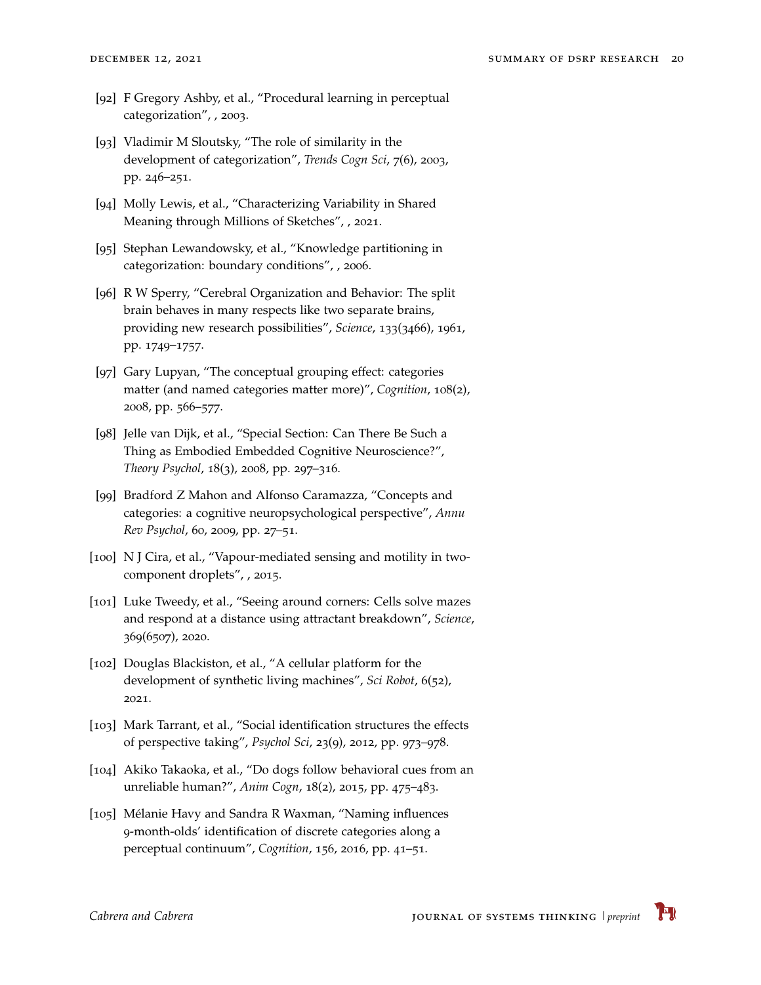- <span id="page-19-0"></span>[92] F Gregory Ashby, et al., "Procedural learning in perceptual categorization", , 2003.
- <span id="page-19-1"></span>[93] Vladimir M Sloutsky, "The role of similarity in the development of categorization", *Trends Cogn Sci*, 7(6), 2003, pp. 246–251.
- <span id="page-19-2"></span>[94] Molly Lewis, et al., "Characterizing Variability in Shared Meaning through Millions of Sketches", , 2021.
- <span id="page-19-3"></span>[95] Stephan Lewandowsky, et al., "Knowledge partitioning in categorization: boundary conditions", , 2006.
- <span id="page-19-4"></span>[96] R W Sperry, "Cerebral Organization and Behavior: The split brain behaves in many respects like two separate brains, providing new research possibilities", *Science*, 133(3466), 1961, pp. 1749–1757.
- <span id="page-19-5"></span>[97] Gary Lupyan, "The conceptual grouping effect: categories matter (and named categories matter more)", *Cognition*, 108(2), 2008, pp. 566–577.
- <span id="page-19-6"></span>[98] Jelle van Dijk, et al., "Special Section: Can There Be Such a Thing as Embodied Embedded Cognitive Neuroscience?", *Theory Psychol*, 18(3), 2008, pp. 297–316.
- <span id="page-19-7"></span>[99] Bradford Z Mahon and Alfonso Caramazza, "Concepts and categories: a cognitive neuropsychological perspective", *Annu Rev Psychol*, 60, 2009, pp. 27–51.
- <span id="page-19-8"></span>[100] N J Cira, et al., "Vapour-mediated sensing and motility in twocomponent droplets", , 2015.
- <span id="page-19-9"></span>[101] Luke Tweedy, et al., "Seeing around corners: Cells solve mazes and respond at a distance using attractant breakdown", *Science*, 369(6507), 2020.
- <span id="page-19-10"></span>[102] Douglas Blackiston, et al., "A cellular platform for the development of synthetic living machines", *Sci Robot*, 6(52), 2021.
- <span id="page-19-11"></span>[103] Mark Tarrant, et al., "Social identification structures the effects of perspective taking", *Psychol Sci*, 23(9), 2012, pp. 973–978.
- <span id="page-19-12"></span>[104] Akiko Takaoka, et al., "Do dogs follow behavioral cues from an unreliable human?", *Anim Cogn*, 18(2), 2015, pp. 475–483.
- <span id="page-19-13"></span>[105] Mélanie Havy and Sandra R Waxman, "Naming influences 9-month-olds' identification of discrete categories along a perceptual continuum", *Cognition*, 156, 2016, pp. 41–51.

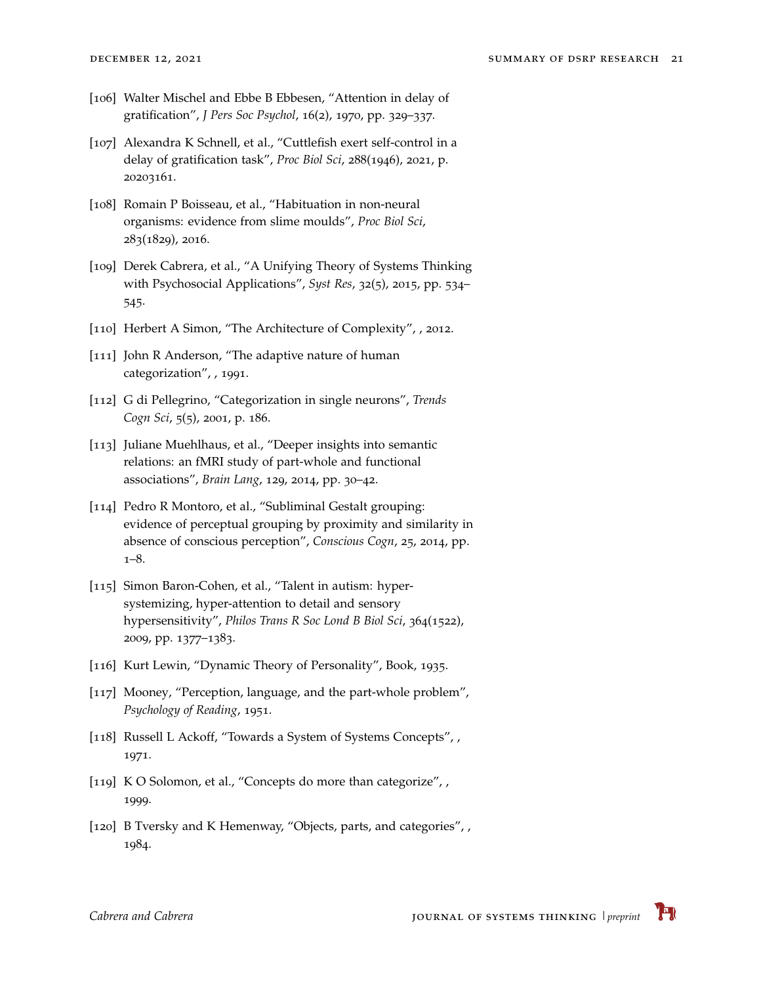- <span id="page-20-0"></span>[106] Walter Mischel and Ebbe B Ebbesen, "Attention in delay of gratification", *J Pers Soc Psychol*, 16(2), 1970, pp. 329–337.
- <span id="page-20-1"></span>[107] Alexandra K Schnell, et al., "Cuttlefish exert self-control in a delay of gratification task", *Proc Biol Sci*, 288(1946), 2021, p. 20203161.
- <span id="page-20-2"></span>[108] Romain P Boisseau, et al., "Habituation in non-neural organisms: evidence from slime moulds", *Proc Biol Sci*, 283(1829), 2016.
- <span id="page-20-3"></span>[109] Derek Cabrera, et al., "A Unifying Theory of Systems Thinking with Psychosocial Applications", *Syst Res*, 32(5), 2015, pp. 534– 545.
- <span id="page-20-4"></span>[110] Herbert A Simon, "The Architecture of Complexity", , 2012.
- <span id="page-20-5"></span>[111] John R Anderson, "The adaptive nature of human categorization", , 1991.
- <span id="page-20-6"></span>[112] G di Pellegrino, "Categorization in single neurons", *Trends Cogn Sci*, 5(5), 2001, p. 186.
- <span id="page-20-7"></span>[113] Juliane Muehlhaus, et al., "Deeper insights into semantic relations: an fMRI study of part-whole and functional associations", *Brain Lang*, 129, 2014, pp. 30–42.
- <span id="page-20-8"></span>[114] Pedro R Montoro, et al., "Subliminal Gestalt grouping: evidence of perceptual grouping by proximity and similarity in absence of conscious perception", *Conscious Cogn*, 25, 2014, pp. 1–8.
- <span id="page-20-9"></span>[115] Simon Baron-Cohen, et al., "Talent in autism: hypersystemizing, hyper-attention to detail and sensory hypersensitivity", *Philos Trans R Soc Lond B Biol Sci*, 364(1522), 2009, pp. 1377–1383.
- <span id="page-20-10"></span>[116] Kurt Lewin, "Dynamic Theory of Personality", Book, 1935.
- <span id="page-20-11"></span>[117] Mooney, "Perception, language, and the part-whole problem", *Psychology of Reading*, 1951.
- <span id="page-20-12"></span>[118] Russell L Ackoff, "Towards a System of Systems Concepts", , 1971.
- <span id="page-20-13"></span>[119] K O Solomon, et al., "Concepts do more than categorize", , 1999.
- <span id="page-20-14"></span>[120] B Tversky and K Hemenway, "Objects, parts, and categories", , 1984.

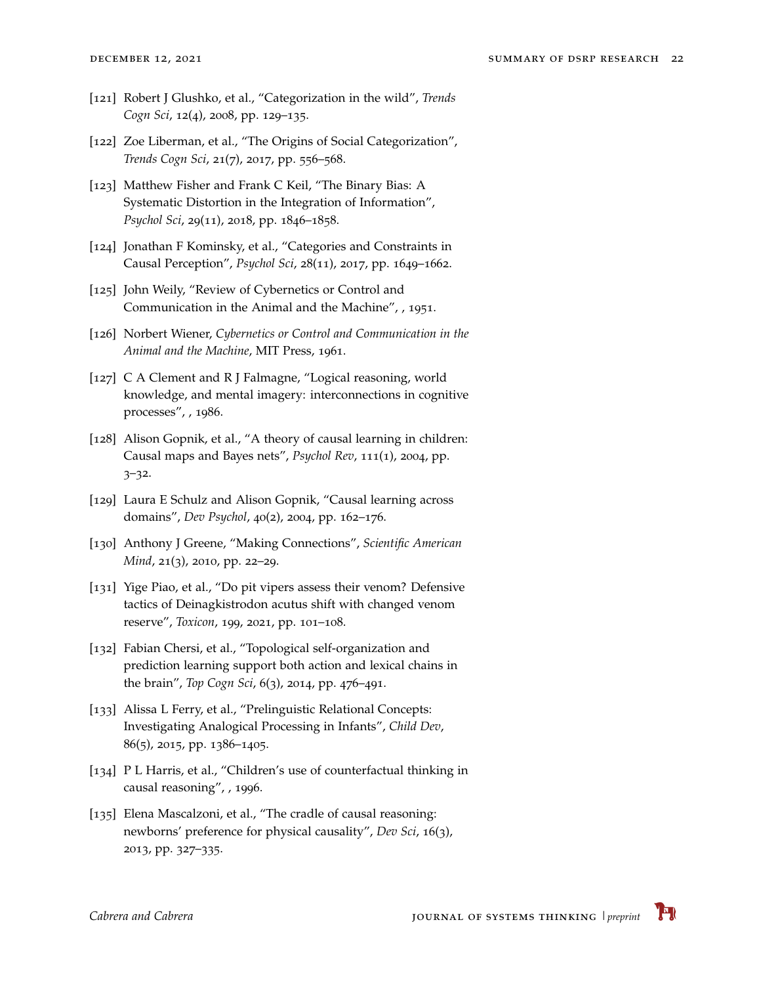- <span id="page-21-0"></span>[121] Robert J Glushko, et al., "Categorization in the wild", *Trends Cogn Sci*, 12(4), 2008, pp. 129–135.
- <span id="page-21-1"></span>[122] Zoe Liberman, et al., "The Origins of Social Categorization", *Trends Cogn Sci*, 21(7), 2017, pp. 556–568.
- <span id="page-21-2"></span>[123] Matthew Fisher and Frank C Keil, "The Binary Bias: A Systematic Distortion in the Integration of Information", *Psychol Sci*, 29(11), 2018, pp. 1846–1858.
- <span id="page-21-3"></span>[124] Jonathan F Kominsky, et al., "Categories and Constraints in Causal Perception", *Psychol Sci*, 28(11), 2017, pp. 1649–1662.
- <span id="page-21-4"></span>[125] John Weily, "Review of Cybernetics or Control and Communication in the Animal and the Machine", , 1951.
- <span id="page-21-5"></span>[126] Norbert Wiener, *Cybernetics or Control and Communication in the Animal and the Machine*, MIT Press, 1961.
- <span id="page-21-6"></span>[127] C A Clement and R J Falmagne, "Logical reasoning, world knowledge, and mental imagery: interconnections in cognitive processes", , 1986.
- <span id="page-21-7"></span>[128] Alison Gopnik, et al., "A theory of causal learning in children: Causal maps and Bayes nets", *Psychol Rev*, 111(1), 2004, pp. 3–32.
- <span id="page-21-8"></span>[129] Laura E Schulz and Alison Gopnik, "Causal learning across domains", *Dev Psychol*, 40(2), 2004, pp. 162–176.
- <span id="page-21-9"></span>[130] Anthony J Greene, "Making Connections", *Scientific American Mind*, 21(3), 2010, pp. 22–29.
- <span id="page-21-10"></span>[131] Yige Piao, et al., "Do pit vipers assess their venom? Defensive tactics of Deinagkistrodon acutus shift with changed venom reserve", *Toxicon*, 199, 2021, pp. 101–108.
- <span id="page-21-11"></span>[132] Fabian Chersi, et al., "Topological self-organization and prediction learning support both action and lexical chains in the brain", *Top Cogn Sci*, 6(3), 2014, pp. 476–491.
- <span id="page-21-12"></span>[133] Alissa L Ferry, et al., "Prelinguistic Relational Concepts: Investigating Analogical Processing in Infants", *Child Dev*, 86(5), 2015, pp. 1386–1405.
- <span id="page-21-13"></span>[134] P L Harris, et al., "Children's use of counterfactual thinking in causal reasoning", , 1996.
- <span id="page-21-14"></span>[135] Elena Mascalzoni, et al., "The cradle of causal reasoning: newborns' preference for physical causality", *Dev Sci*, 16(3), 2013, pp. 327–335.

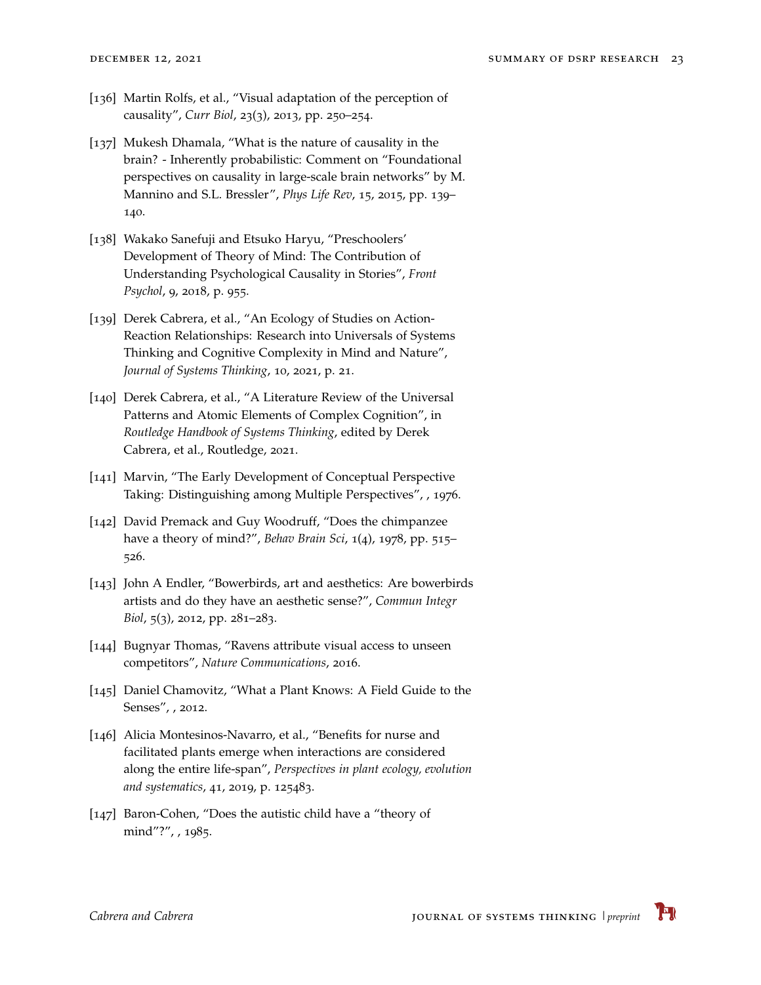- <span id="page-22-0"></span>[136] Martin Rolfs, et al., "Visual adaptation of the perception of causality", *Curr Biol*, 23(3), 2013, pp. 250–254.
- <span id="page-22-1"></span>[137] Mukesh Dhamala, "What is the nature of causality in the brain? - Inherently probabilistic: Comment on "Foundational perspectives on causality in large-scale brain networks" by M. Mannino and S.L. Bressler", *Phys Life Rev*, 15, 2015, pp. 139– 140.
- <span id="page-22-2"></span>[138] Wakako Sanefuji and Etsuko Haryu, "Preschoolers' Development of Theory of Mind: The Contribution of Understanding Psychological Causality in Stories", *Front Psychol*, 9, 2018, p. 955.
- <span id="page-22-3"></span>[139] Derek Cabrera, et al., "An Ecology of Studies on Action-Reaction Relationships: Research into Universals of Systems Thinking and Cognitive Complexity in Mind and Nature", *Journal of Systems Thinking*, 10, 2021, p. 21.
- <span id="page-22-4"></span>[140] Derek Cabrera, et al., "A Literature Review of the Universal Patterns and Atomic Elements of Complex Cognition", in *Routledge Handbook of Systems Thinking*, edited by Derek Cabrera, et al., Routledge, 2021.
- <span id="page-22-5"></span>[141] Marvin, "The Early Development of Conceptual Perspective Taking: Distinguishing among Multiple Perspectives", , 1976.
- <span id="page-22-6"></span>[142] David Premack and Guy Woodruff, "Does the chimpanzee have a theory of mind?", *Behav Brain Sci*, 1(4), 1978, pp. 515– 526.
- <span id="page-22-7"></span>[143] John A Endler, "Bowerbirds, art and aesthetics: Are bowerbirds artists and do they have an aesthetic sense?", *Commun Integr Biol*, 5(3), 2012, pp. 281–283.
- <span id="page-22-8"></span>[144] Bugnyar Thomas, "Ravens attribute visual access to unseen competitors", *Nature Communications*, 2016.
- <span id="page-22-9"></span>[145] Daniel Chamovitz, "What a Plant Knows: A Field Guide to the Senses", , 2012.
- <span id="page-22-10"></span>[146] Alicia Montesinos-Navarro, et al., "Benefits for nurse and facilitated plants emerge when interactions are considered along the entire life-span", *Perspectives in plant ecology, evolution and systematics*, 41, 2019, p. 125483.
- <span id="page-22-11"></span>[147] Baron-Cohen, "Does the autistic child have a "theory of mind"?", , 1985.

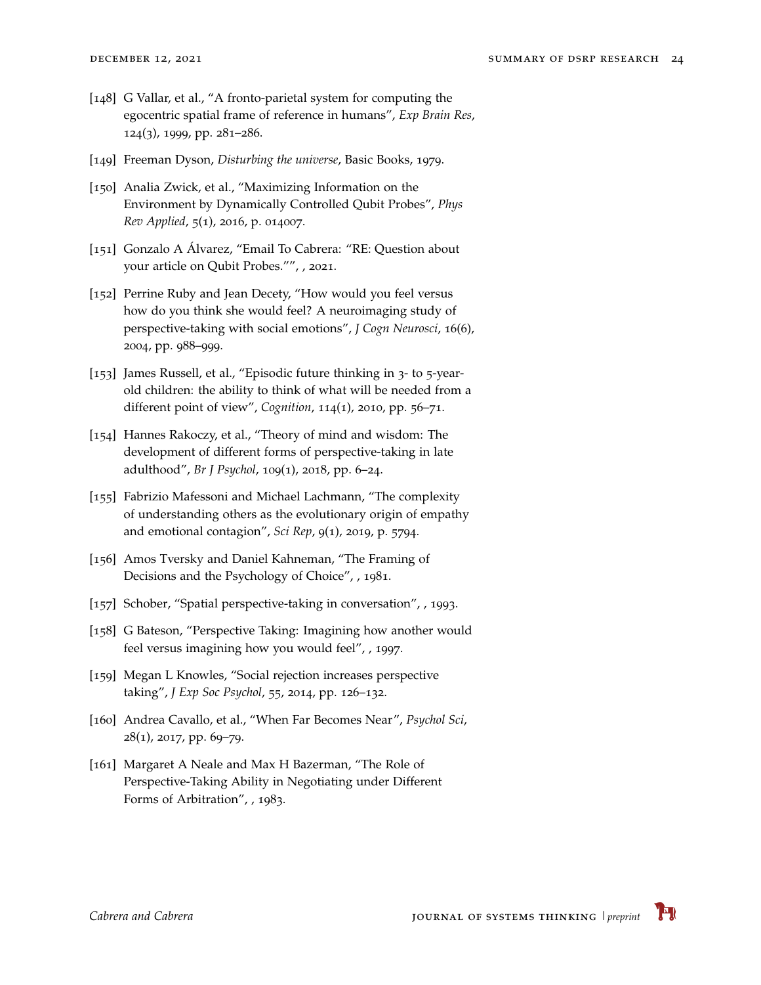- <span id="page-23-0"></span>[148] G Vallar, et al., "A fronto-parietal system for computing the egocentric spatial frame of reference in humans", *Exp Brain Res*, 124(3), 1999, pp. 281–286.
- <span id="page-23-1"></span>[149] Freeman Dyson, *Disturbing the universe*, Basic Books, 1979.
- <span id="page-23-2"></span>[150] Analia Zwick, et al., "Maximizing Information on the Environment by Dynamically Controlled Qubit Probes", *Phys Rev Applied*, 5(1), 2016, p. 014007.
- <span id="page-23-3"></span>[151] Gonzalo A Álvarez, "Email To Cabrera: "RE: Question about your article on Qubit Probes."", , 2021.
- <span id="page-23-4"></span>[152] Perrine Ruby and Jean Decety, "How would you feel versus how do you think she would feel? A neuroimaging study of perspective-taking with social emotions", *J Cogn Neurosci*, 16(6), 2004, pp. 988–999.
- <span id="page-23-5"></span>[153] James Russell, et al., "Episodic future thinking in 3- to 5-yearold children: the ability to think of what will be needed from a different point of view", *Cognition*, 114(1), 2010, pp. 56–71.
- <span id="page-23-6"></span>[154] Hannes Rakoczy, et al., "Theory of mind and wisdom: The development of different forms of perspective-taking in late adulthood", *Br J Psychol*, 109(1), 2018, pp. 6–24.
- <span id="page-23-7"></span>[155] Fabrizio Mafessoni and Michael Lachmann, "The complexity of understanding others as the evolutionary origin of empathy and emotional contagion", *Sci Rep*, 9(1), 2019, p. 5794.
- <span id="page-23-8"></span>[156] Amos Tversky and Daniel Kahneman, "The Framing of Decisions and the Psychology of Choice", , 1981.
- <span id="page-23-9"></span>[157] Schober, "Spatial perspective-taking in conversation", , 1993.
- <span id="page-23-10"></span>[158] G Bateson, "Perspective Taking: Imagining how another would feel versus imagining how you would feel", , 1997.
- <span id="page-23-11"></span>[159] Megan L Knowles, "Social rejection increases perspective taking", *J Exp Soc Psychol*, 55, 2014, pp. 126–132.
- <span id="page-23-12"></span>[160] Andrea Cavallo, et al., "When Far Becomes Near", *Psychol Sci*, 28(1), 2017, pp. 69–79.
- <span id="page-23-13"></span>[161] Margaret A Neale and Max H Bazerman, "The Role of Perspective-Taking Ability in Negotiating under Different Forms of Arbitration", , 1983.